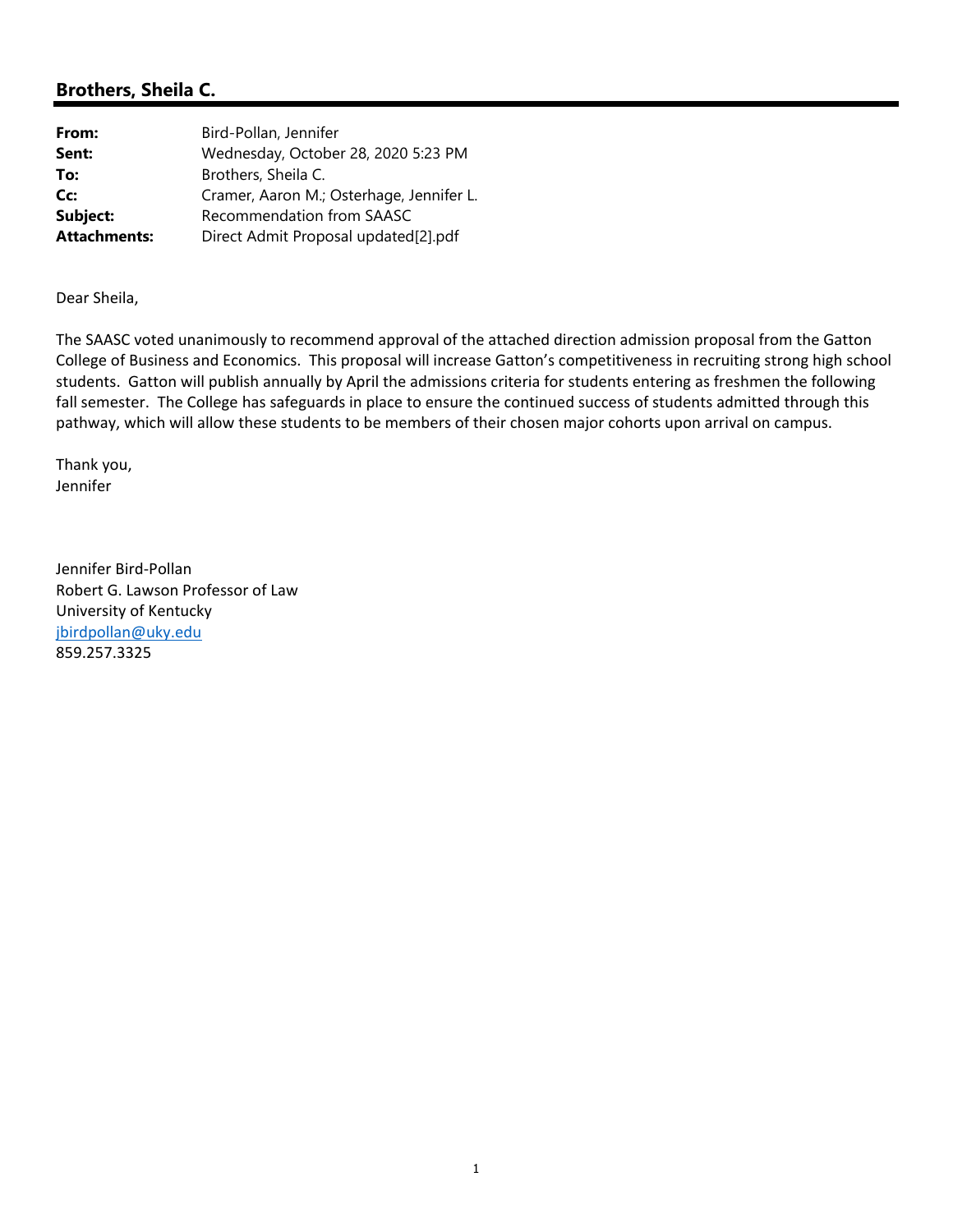### **Brothers, Sheila C.**

| From:               | Bird-Pollan, Jennifer                    |
|---------------------|------------------------------------------|
| Sent:               | Wednesday, October 28, 2020 5:23 PM      |
| To:                 | Brothers, Sheila C.                      |
| Cc:                 | Cramer, Aaron M.; Osterhage, Jennifer L. |
| Subject:            | Recommendation from SAASC                |
| <b>Attachments:</b> | Direct Admit Proposal updated[2].pdf     |

Dear Sheila,

The SAASC voted unanimously to recommend approval of the attached direction admission proposal from the Gatton College of Business and Economics. This proposal will increase Gatton's competitiveness in recruiting strong high school students. Gatton will publish annually by April the admissions criteria for students entering as freshmen the following fall semester. The College has safeguards in place to ensure the continued success of students admitted through this pathway, which will allow these students to be members of their chosen major cohorts upon arrival on campus.

Thank you, Jennifer

Jennifer Bird‐Pollan Robert G. Lawson Professor of Law University of Kentucky jbirdpollan@uky.edu 859.257.3325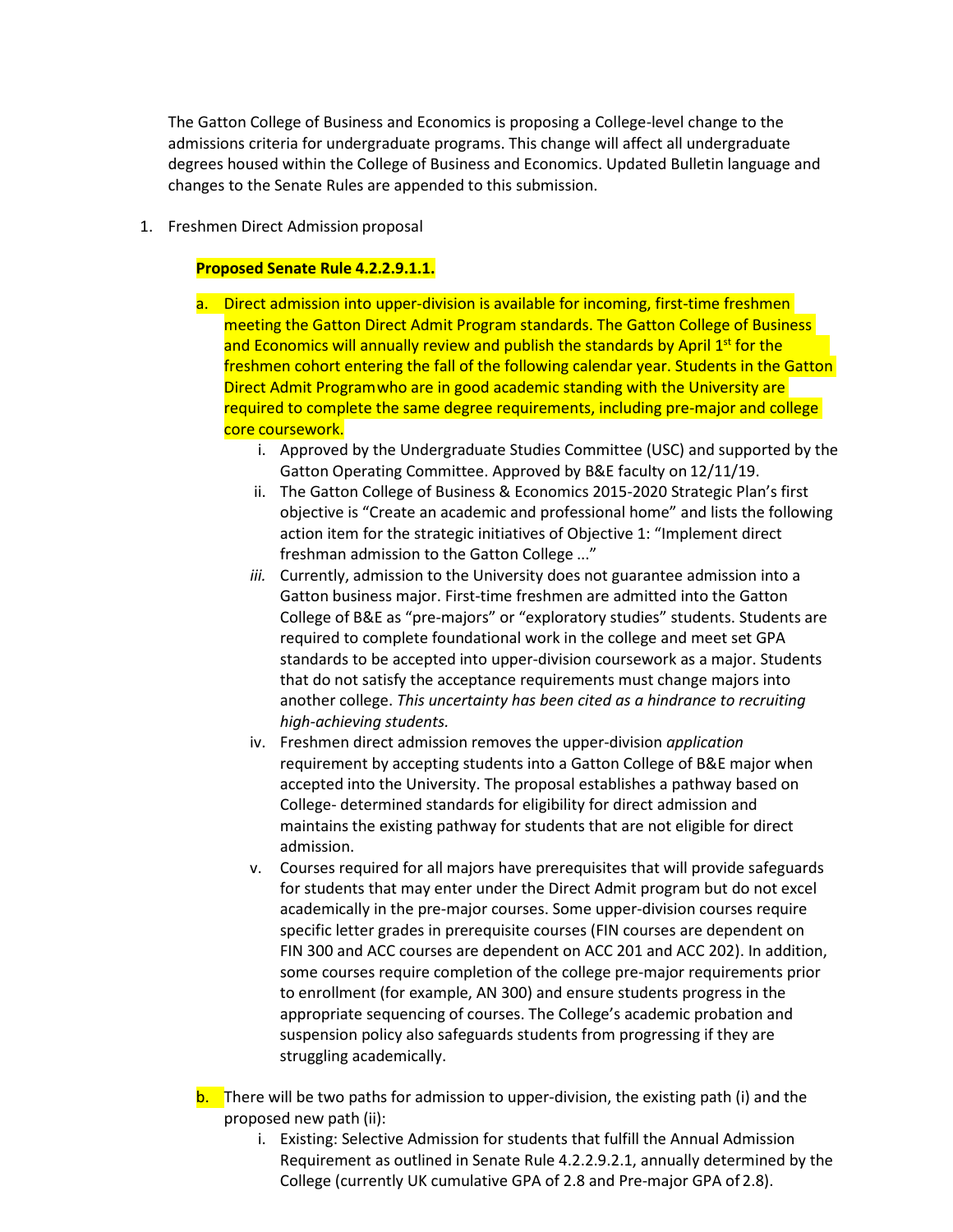The Gatton College of Business and Economics is proposing a College-level change to the admissions criteria for undergraduate programs. This change will affect all undergraduate degrees housed within the College of Business and Economics. Updated Bulletin language and changes to the Senate Rules are appended to this submission.

1. Freshmen Direct Admission proposal

### **Proposed Senate Rule 4.2.2.9.1.1.**

- a. Direct admission into upper-division is available for incoming, first-time freshmen meeting the Gatton Direct Admit Program standards. The Gatton College of Business and Economics will annually review and publish the standards by April 1<sup>st</sup> for the freshmen cohort entering the fall of the following calendar year. Students in the Gatton Direct Admit Programwho are in good academic standing with the University are required to complete the same degree requirements, including pre-major and college core coursework.
	- i. Approved by the Undergraduate Studies Committee (USC) and supported by the Gatton Operating Committee. Approved by B&E faculty on 12/11/19.
	- ii. The Gatton College of Business & Economics 2015-2020 Strategic Plan's first objective is "Create an academic and professional home" and lists the following action item for the strategic initiatives of Objective 1: "Implement direct freshman admission to the Gatton College ..."
	- *iii.* Currently, admission to the University does not guarantee admission into a Gatton business major. First-time freshmen are admitted into the Gatton College of B&E as "pre-majors" or "exploratory studies" students. Students are required to complete foundational work in the college and meet set GPA standards to be accepted into upper-division coursework as a major. Students that do not satisfy the acceptance requirements must change majors into another college. *This uncertainty has been cited as a hindrance to recruiting high-achieving students.*
	- iv. Freshmen direct admission removes the upper-division *application* requirement by accepting students into a Gatton College of B&E major when accepted into the University. The proposal establishes a pathway based on College- determined standards for eligibility for direct admission and maintains the existing pathway for students that are not eligible for direct admission.
	- v. Courses required for all majors have prerequisites that will provide safeguards for students that may enter under the Direct Admit program but do not excel academically in the pre-major courses. Some upper-division courses require specific letter grades in prerequisite courses (FIN courses are dependent on FIN 300 and ACC courses are dependent on ACC 201 and ACC 202). In addition, some courses require completion of the college pre-major requirements prior to enrollment (for example, AN 300) and ensure students progress in the appropriate sequencing of courses. The College's academic probation and suspension policy also safeguards students from progressing if they are struggling academically.
- **b.** There will be two paths for admission to upper-division, the existing path (i) and the proposed new path (ii):
	- i. Existing: Selective Admission for students that fulfill the Annual Admission Requirement as outlined in Senate Rule 4.2.2.9.2.1, annually determined by the College (currently UK cumulative GPA of 2.8 and Pre-major GPA of 2.8).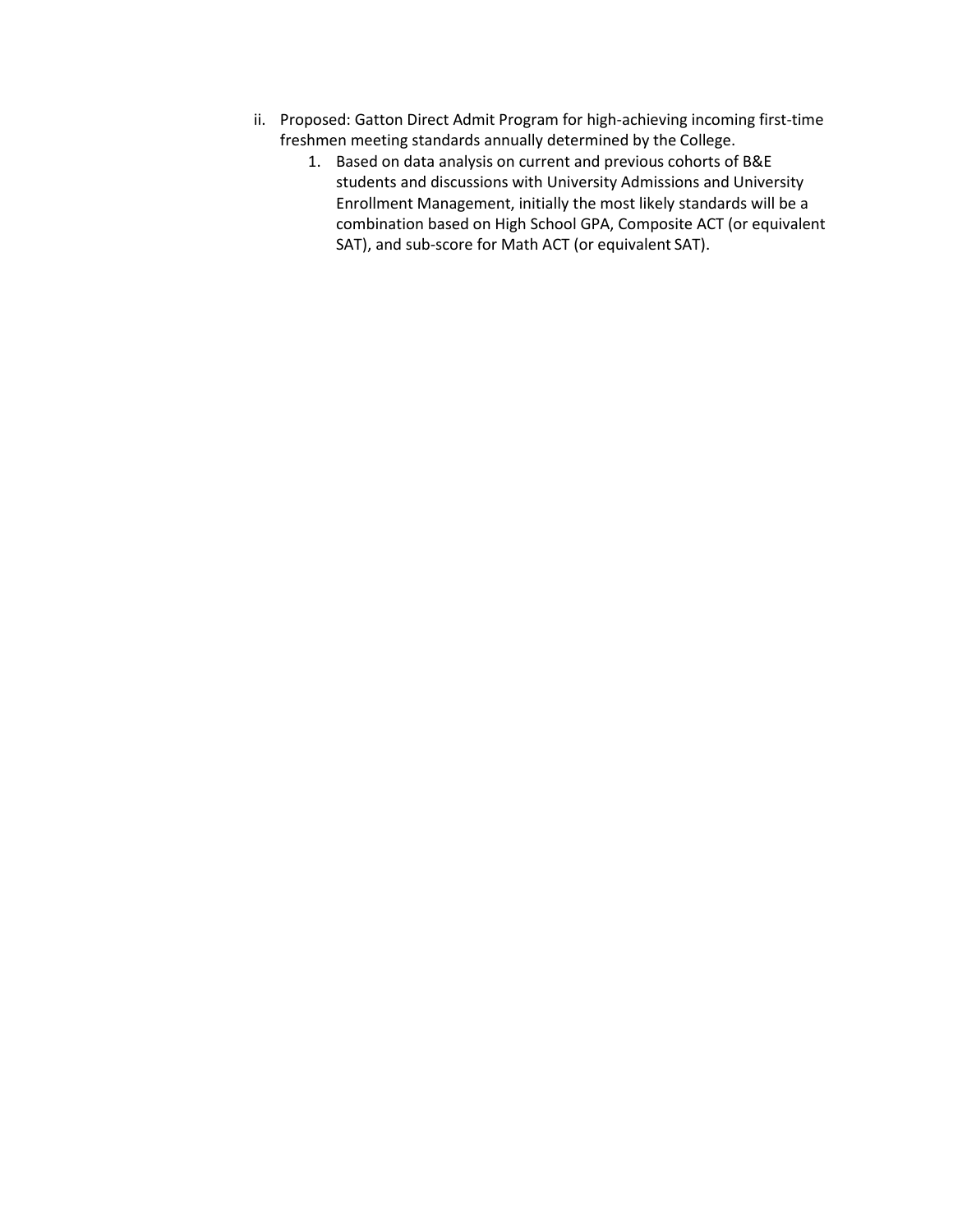- ii. Proposed: Gatton Direct Admit Program for high-achieving incoming first-time freshmen meeting standards annually determined by the College.
	- 1. Based on data analysis on current and previous cohorts of B&E students and discussions with University Admissions and University Enrollment Management, initially the most likely standards will be a combination based on High School GPA, Composite ACT (or equivalent SAT), and sub-score for Math ACT (or equivalent SAT).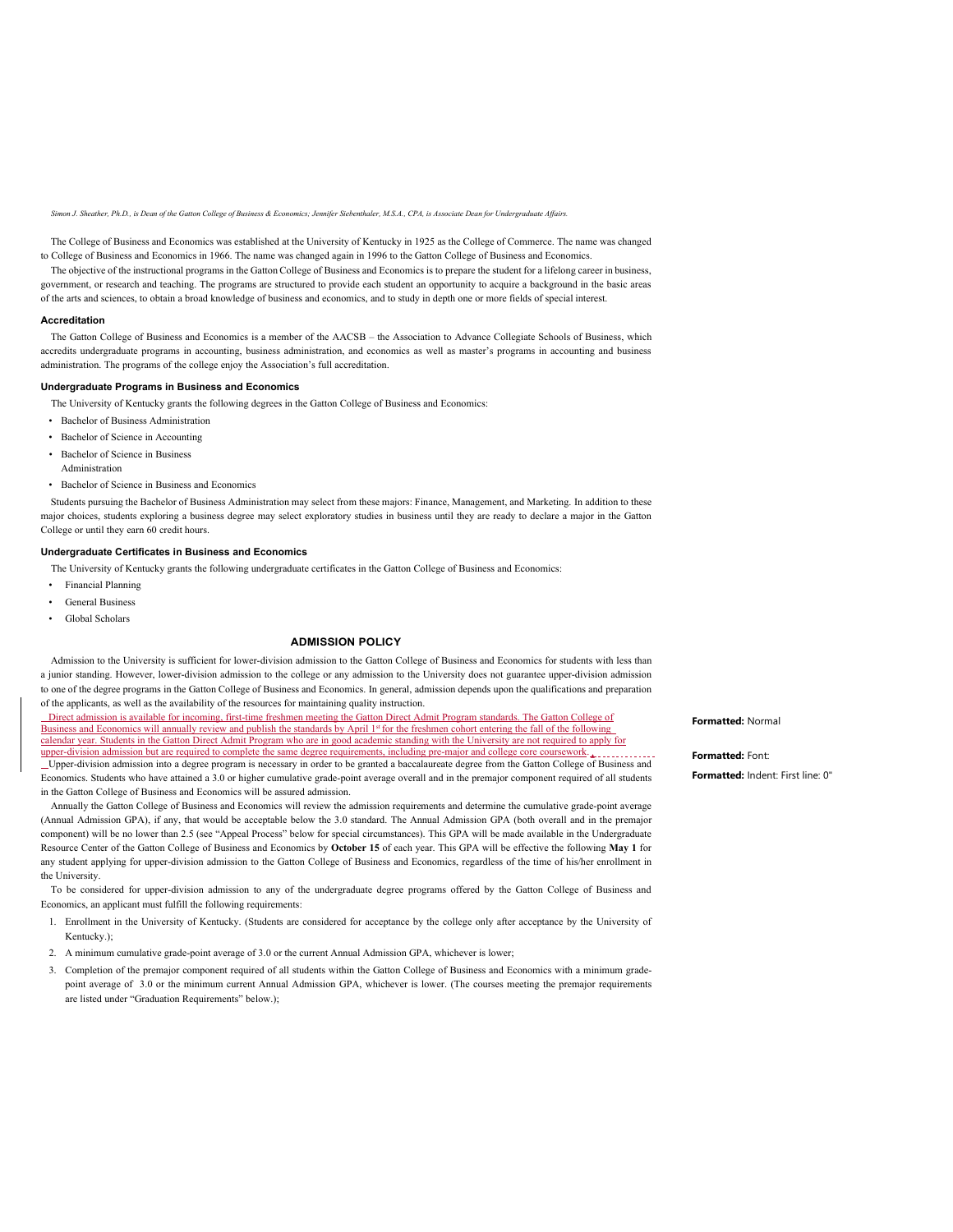*Simon J. Sheather, Ph.D., is Dean of the Gatton College of Business & Economics; Jennifer Siebenthaler, M.S.A., CPA, is Associate Dean for Undergraduate Affairs.*

The College of Business and Economics was established at the University of Kentucky in 1925 as the College of Commerce. The name was changed to College of Business and Economics in 1966. The name was changed again in 1996 to the Gatton College of Business and Economics.

The objective of the instructional programs in the Gatton College of Business and Economics is to prepare the student for a lifelong career in business, government, or research and teaching. The programs are structured to provide each student an opportunity to acquire a background in the basic areas of the arts and sciences, to obtain a broad knowledge of business and economics, and to study in depth one or more fields of special interest.

#### **Accreditation**

The Gatton College of Business and Economics is a member of the AACSB – the Association to Advance Collegiate Schools of Business, which accredits undergraduate programs in accounting, business administration, and economics as well as master's programs in accounting and business administration. The programs of the college enjoy the Association's full accreditation.

#### **Undergraduate Programs in Business and Economics**

The University of Kentucky grants the following degrees in the Gatton College of Business and Economics:

- Bachelor of Business Administration
- Bachelor of Science in Accounting
- Bachelor of Science in Business Administration
- Bachelor of Science in Business and Economics

Students pursuing the Bachelor of Business Administration may select from these majors: Finance, Management, and Marketing. In addition to these major choices, students exploring a business degree may select exploratory studies in business until they are ready to declare a major in the Gatton College or until they earn 60 credit hours.

#### **Undergraduate Certificates in Business and Economics**

The University of Kentucky grants the following undergraduate certificates in the Gatton College of Business and Economics:

- Financial Planning
- General Business
- Global Scholars

### **ADMISSION POLICY**

Admission to the University is sufficient for lower-division admission to the Gatton College of Business and Economics for students with less than a junior standing. However, lower-division admission to the college or any admission to the University does not guarantee upper-division admission to one of the degree programs in the Gatton College of Business and Economics. In general, admission depends upon the qualifications and preparation of the applicants, as well as the availability of the resources for maintaining quality instruction.

 Direct admission is available for incoming, first-time freshmen meeting the Gatton Direct Admit Program standards. The Gatton College of Business and Economics will annually review and publish the standards by April 1st for the freshmen cohort entering the fall of the following calendar year. Students in the Gatton Direct Admit Program who are in good academic standing with the University are not required to apply for upper-division admission but are required to complete the same degree requirements, including pre-major and college core coursework.

 Upper-division admission into a degree program is necessary in order to be granted a baccalaureate degree from the Gatton College of Business and Economics. Students who have attained a 3.0 or higher cumulative grade-point average overall and in the premajor component required of all students in the Gatton College of Business and Economics will be assured admission.

Annually the Gatton College of Business and Economics will review the admission requirements and determine the cumulative grade-point average (Annual Admission GPA), if any, that would be acceptable below the 3.0 standard. The Annual Admission GPA (both overall and in the premajor component) will be no lower than 2.5 (see "Appeal Process" below for special circumstances). This GPA will be made available in the Undergraduate Resource Center of the Gatton College of Business and Economics by **October 15** of each year. This GPA will be effective the following **May 1** for any student applying for upper-division admission to the Gatton College of Business and Economics, regardless of the time of his/her enrollment in the University.

To be considered for upper-division admission to any of the undergraduate degree programs offered by the Gatton College of Business and Economics, an applicant must fulfill the following requirements:

- 1. Enrollment in the University of Kentucky. (Students are considered for acceptance by the college only after acceptance by the University of Kentucky.);
- 2. A minimum cumulative grade-point average of 3.0 or the current Annual Admission GPA, whichever is lower;
- 3. Completion of the premajor component required of all students within the Gatton College of Business and Economics with a minimum gradepoint average of 3.0 or the minimum current Annual Admission GPA, whichever is lower. (The courses meeting the premajor requirements are listed under "Graduation Requirements" below.);

**Formatted:** Normal

**Formatted:** Font:

**Formatted:** Indent: First line: 0"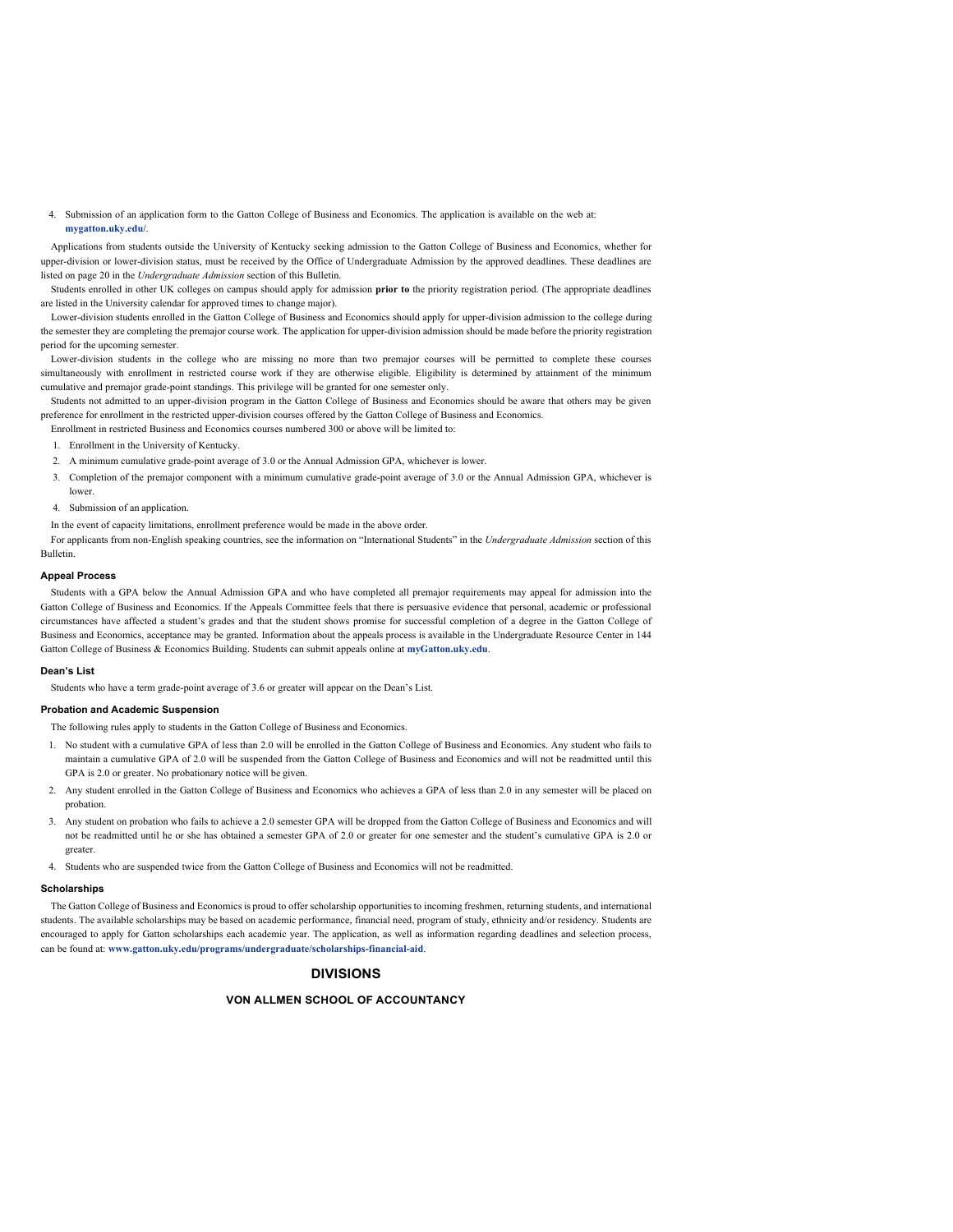4. Submission of an application form to the Gatton College of Business and Economics. The application is available on the web at: **mygatton.uky.edu/**.

Applications from students outside the University of Kentucky seeking admission to the Gatton College of Business and Economics, whether for upper-division or lower-division status, must be received by the Office of Undergraduate Admission by the approved deadlines. These deadlines are listed on page 20 in the *Undergraduate Admission* section of this Bulletin.

Students enrolled in other UK colleges on campus should apply for admission **prior to** the priority registration period. (The appropriate deadlines are listed in the University calendar for approved times to change major).

Lower-division students enrolled in the Gatton College of Business and Economics should apply for upper-division admission to the college during the semester they are completing the premajor course work. The application for upper-division admission should be made before the priority registration period for the upcoming semester.

Lower-division students in the college who are missing no more than two premajor courses will be permitted to complete these courses simultaneously with enrollment in restricted course work if they are otherwise eligible. Eligibility is determined by attainment of the minimum cumulative and premajor grade-point standings. This privilege will be granted for one semester only.

Students not admitted to an upper-division program in the Gatton College of Business and Economics should be aware that others may be given preference for enrollment in the restricted upper-division courses offered by the Gatton College of Business and Economics.

Enrollment in restricted Business and Economics courses numbered 300 or above will be limited to:

- 1. Enrollment in the University of Kentucky.
- 2. A minimum cumulative grade-point average of 3.0 or the Annual Admission GPA, whichever is lower.
- 3. Completion of the premajor component with a minimum cumulative grade-point average of 3.0 or the Annual Admission GPA, whichever is
- 4. Submission of an application.

In the event of capacity limitations, enrollment preference would be made in the above order.

For applicants from non-English speaking countries, see the information on "International Students" in the *Undergraduate Admission* section of this Bulletin.

#### **Appeal Process**

lower.

Students with a GPA below the Annual Admission GPA and who have completed all premajor requirements may appeal for admission into the Gatton College of Business and Economics. If the Appeals Committee feels that there is persuasive evidence that personal, academic or professional circumstances have affected a student's grades and that the student shows promise for successful completion of a degree in the Gatton College of Business and Economics, acceptance may be granted. Information about the appeals process is available in the Undergraduate Resource Center in 144 Gatton College of Business & Economics Building. Students can submit appeals online at **myGatton.uky.edu**.

### **Dean's List**

Students who have a term grade-point average of 3.6 or greater will appear on the Dean's List.

### **Probation and Academic Suspension**

The following rules apply to students in the Gatton College of Business and Economics.

- 1. No student with a cumulative GPA of less than 2.0 will be enrolled in the Gatton College of Business and Economics. Any student who fails to maintain a cumulative GPA of 2.0 will be suspended from the Gatton College of Business and Economics and will not be readmitted until this GPA is 2.0 or greater. No probationary notice will be given.
- 2. Any student enrolled in the Gatton College of Business and Economics who achieves a GPA of less than 2.0 in any semester will be placed on probation.
- 3. Any student on probation who fails to achieve a 2.0 semester GPA will be dropped from the Gatton College of Business and Economics and will not be readmitted until he or she has obtained a semester GPA of 2.0 or greater for one semester and the student's cumulative GPA is 2.0 or greater.
- 4. Students who are suspended twice from the Gatton College of Business and Economics will not be readmitted.

#### **Scholarships**

The Gatton College of Business and Economics is proud to offer scholarship opportunities to incoming freshmen, returning students, and international students. The available scholarships may be based on academic performance, financial need, program of study, ethnicity and/or residency. Students are encouraged to apply for Gatton scholarships each academic year. The application, as well as information regarding deadlines and selection process, can be found at: **[www.gatton.uky.edu/programs/undergraduate/scholarships-financial-aid](http://www.gatton.uky.edu/programs/undergraduate/scholarships-financial-aid)**.

### **DIVISIONS**

### **VON ALLMEN SCHOOL OF ACCOUNTANCY**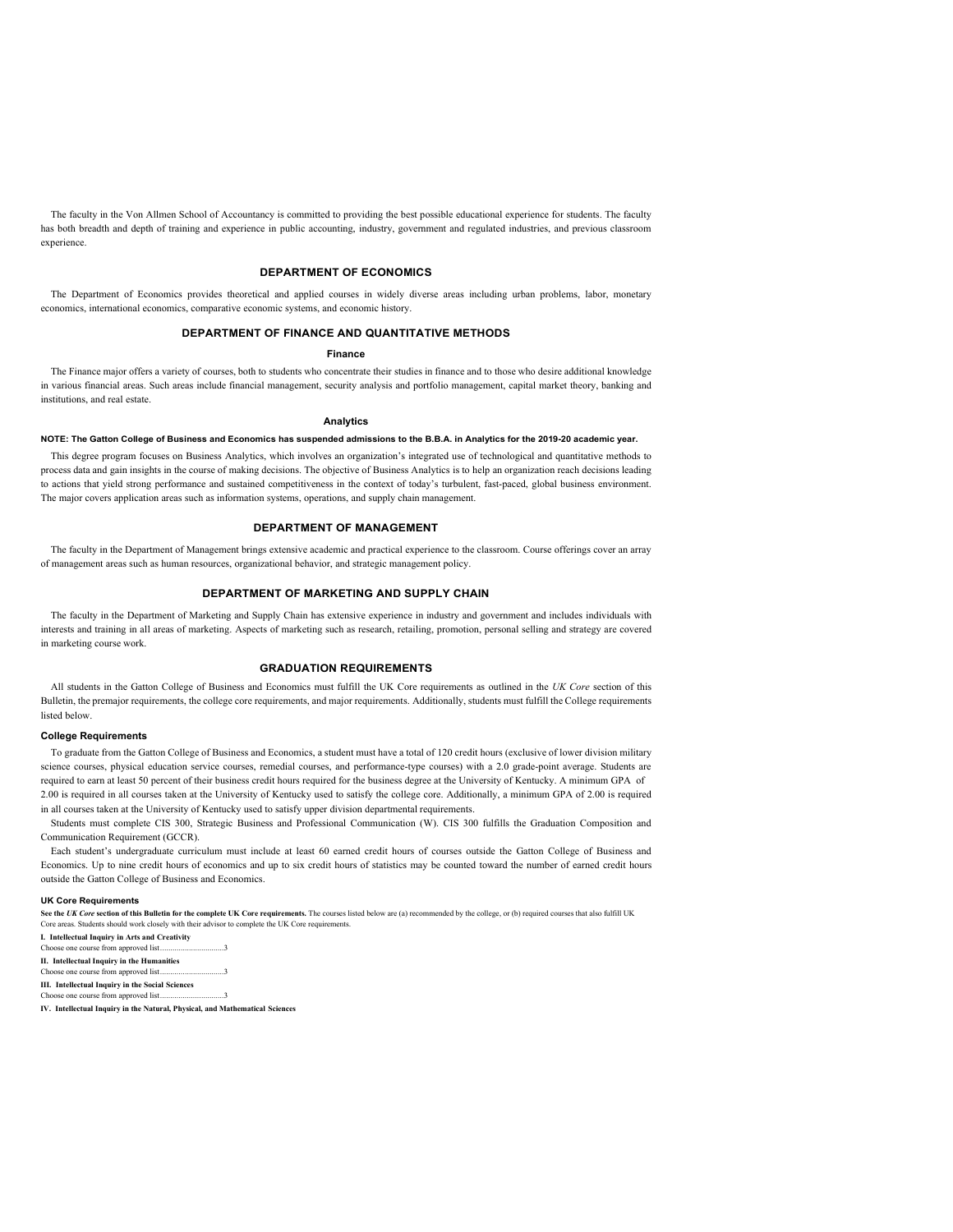The faculty in the Von Allmen School of Accountancy is committed to providing the best possible educational experience for students. The faculty has both breadth and depth of training and experience in public accounting, industry, government and regulated industries, and previous classroom experience.

### **DEPARTMENT OF ECONOMICS**

The Department of Economics provides theoretical and applied courses in widely diverse areas including urban problems, labor, monetary economics, international economics, comparative economic systems, and economic history.

### **DEPARTMENT OF FINANCE AND QUANTITATIVE METHODS**

#### **Finance**

The Finance major offers a variety of courses, both to students who concentrate their studies in finance and to those who desire additional knowledge in various financial areas. Such areas include financial management, security analysis and portfolio management, capital market theory, banking and institutions, and real estate.

#### **Analytics**

### **NOTE: The Gatton College of Business and Economics has suspended admissions to the B.B.A. in Analytics for the 2019-20 academic year.**

This degree program focuses on Business Analytics, which involves an organization's integrated use of technological and quantitative methods to process data and gain insights in the course of making decisions. The objective of Business Analytics is to help an organization reach decisions leading to actions that yield strong performance and sustained competitiveness in the context of today's turbulent, fast-paced, global business environment. The major covers application areas such as information systems, operations, and supply chain management.

#### **DEPARTMENT OF MANAGEMENT**

The faculty in the Department of Management brings extensive academic and practical experience to the classroom. Course offerings cover an array of management areas such as human resources, organizational behavior, and strategic management policy.

#### **DEPARTMENT OF MARKETING AND SUPPLY CHAIN**

The faculty in the Department of Marketing and Supply Chain has extensive experience in industry and government and includes individuals with interests and training in all areas of marketing. Aspects of marketing such as research, retailing, promotion, personal selling and strategy are covered in marketing course work.

#### **GRADUATION REQUIREMENTS**

All students in the Gatton College of Business and Economics must fulfill the UK Core requirements as outlined in the *UK Core* section of this Bulletin, the premajor requirements, the college core requirements, and major requirements. Additionally, students must fulfill the College requirements listed below.

### **College Requirements**

To graduate from the Gatton College of Business and Economics, a student must have a total of 120 credit hours (exclusive of lower division military science courses, physical education service courses, remedial courses, and performance-type courses) with a 2.0 grade-point average. Students are required to earn at least 50 percent of their business credit hours required for the business degree at the University of Kentucky. A minimum GPA of 2.00 is required in all courses taken at the University of Kentucky used to satisfy the college core. Additionally, a minimum GPA of 2.00 is required in all courses taken at the University of Kentucky used to satisfy upper division departmental requirements.

Students must complete CIS 300, Strategic Business and Professional Communication (W). CIS 300 fulfills the Graduation Composition and Communication Requirement (GCCR).

Each student's undergraduate curriculum must include at least 60 earned credit hours of courses outside the Gatton College of Business and Economics. Up to nine credit hours of economics and up to six credit hours of statistics may be counted toward the number of earned credit hours outside the Gatton College of Business and Economics.

#### **UK Core Requirements**

See the UK Core section of this Bulletin for the complete UK Core requirements. The courses listed below are (a) recommended by the college, or (b) required courses that also fulfill UK<br>Core areas. Students should work clo

**I. Intellectual Inquiry in Arts and Creativity** Choose one course from approved list... **II. Intellectual Inquiry in the Humanities** Choose one course from approved list...............................3

**III. Intellectual Inquiry in the Social Sciences** m approved list...

**IV. Intellectual Inquiry in the Natural, Physical, and Mathematical Sciences**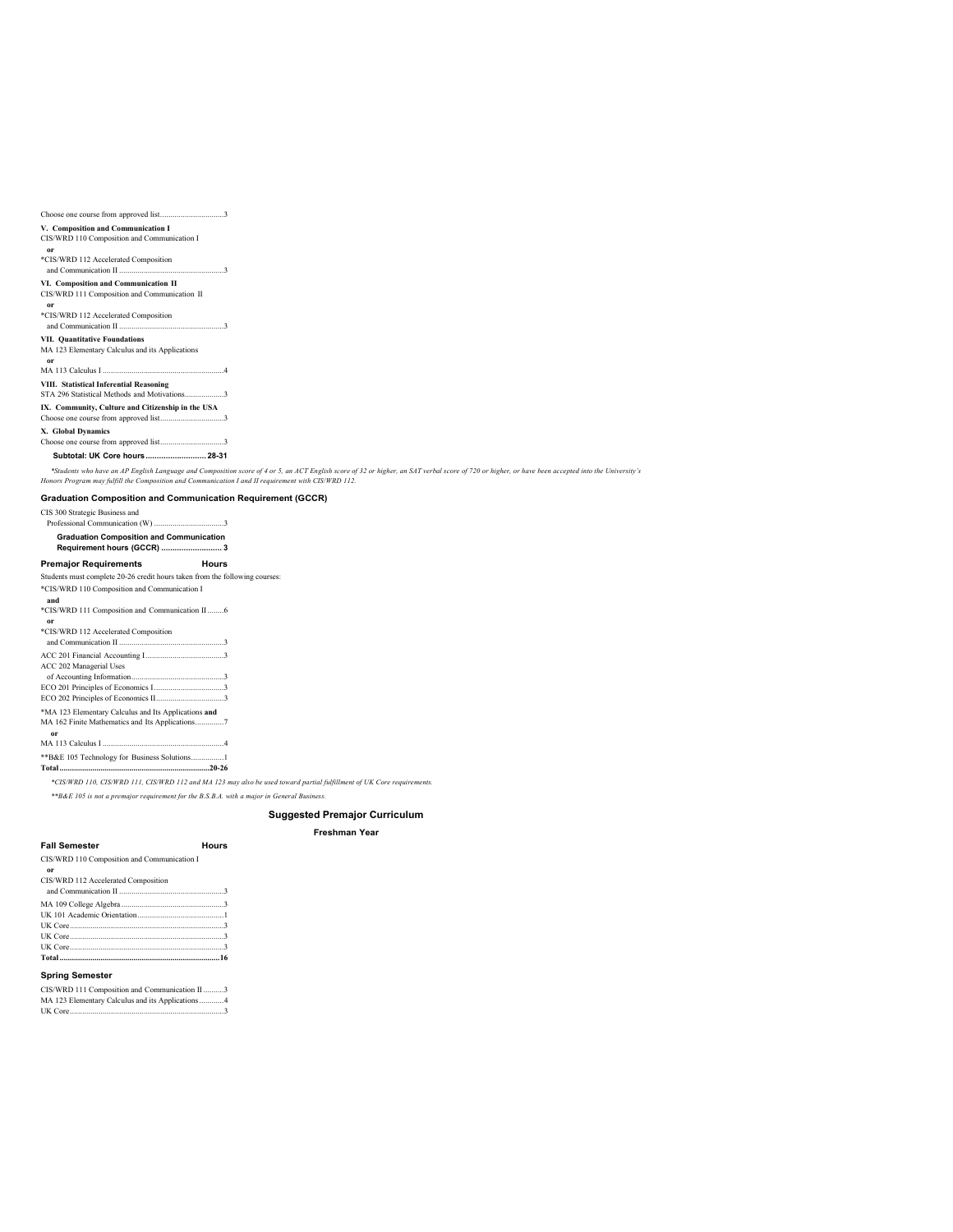| V. Composition and Communication I          |
|---------------------------------------------|
| CIS/WRD 110 Composition and Communication I |
| or                                          |

**or** \*CIS/WRD 112 Accelerated Composition

and Communication II ...................................................3

### **VI. Composition and Communication II**

CIS/WRD 111 Composition and Communication II **or**

### \*CIS/WRD 112 Accelerated Composition

and Communication II ...................................................3 **VII. Quantitative Foundations** MA 123 Elementary Calculus and its Applications

**or** MA 113 Calculus I ...........................................................4

**VIII. Statistical Inferential Reasoning** STA 296 Statistical Methods and Motivations...................3

### **IX. Community, Culture and Citizenship in the USA**

Choose one course from approved list...............................3 **X. Global Dynamics**

Choose one course from approved list...............................3

### **Subtotal: UK Core hours........................... 28-31**

### **Graduation Composition and Communication Requirement (GCCR)**

\*Students who have an AP English Language and Composition score of 4 or 5, an ACT English score of 32 or higher, an SAT verbal score of 720 or higher, or have been accepted into the University's<br>Honors Program may fulfill

CIS 300 Strategic Business and

| <b>Graduation Composition and Communication</b> |              |
|-------------------------------------------------|--------------|
| Requirement hours (GCCR)  3                     |              |
| <b>Premajor Requirements</b>                    | <b>Hours</b> |
|                                                 |              |

### **Premajor Requirements**

Students must complete 20-26 credit hours taken from the following courses: \*CIS/WRD 110 Composition and Communication I

#### **and**

\*CIS/WRD 111 Composition and Communication II........6 **or** \*CIS/WRD 112 Accelerated Composition and Communication II ...................................................3 ACC 201 Financial Accounting I......................................3 ACC 202 Managerial Uses of Accounting Information.............................................3 ECO 201 Principles of Economics I..................................3 ECO 202 Principles of Economics II.................................3

\*MA 123 Elementary Calculus and Its Applications **and** MA 162 Finite Mathematics and Its Applications..............7 **or** MA 113 Calculus I ...........................................................4 \*\*B&E 105 Technology for Business Solutions................1 **Total.........................................................................20-26**

*\*CIS/WRD 110, CIS/WRD 111, CIS/WRD 112 and MA 123 may also be used toward partial fulfillment of UK Core requirements.*

*\*\*B&E 105 is not a premajor requirement for the B.S.B.A. with a major in General Business.*

### **Suggested Premajor Curriculum**

#### **Freshman Year**

### **Fall Semester Hours**

CIS/WRD 110 Composition and Communication I

### **or** CIS/WRD 112 Accelerated Composition

| UK Core 3                           |
|-------------------------------------|
| UK Core 3                           |
|                                     |
|                                     |
|                                     |
|                                     |
| CIS/WRD 112 Accelerated Composition |

#### **Spring Semester**

CIS/WRD 111 Composition and Communication II..........3 MA 123 Elementary Calculus and its Applications............4 UK Core.............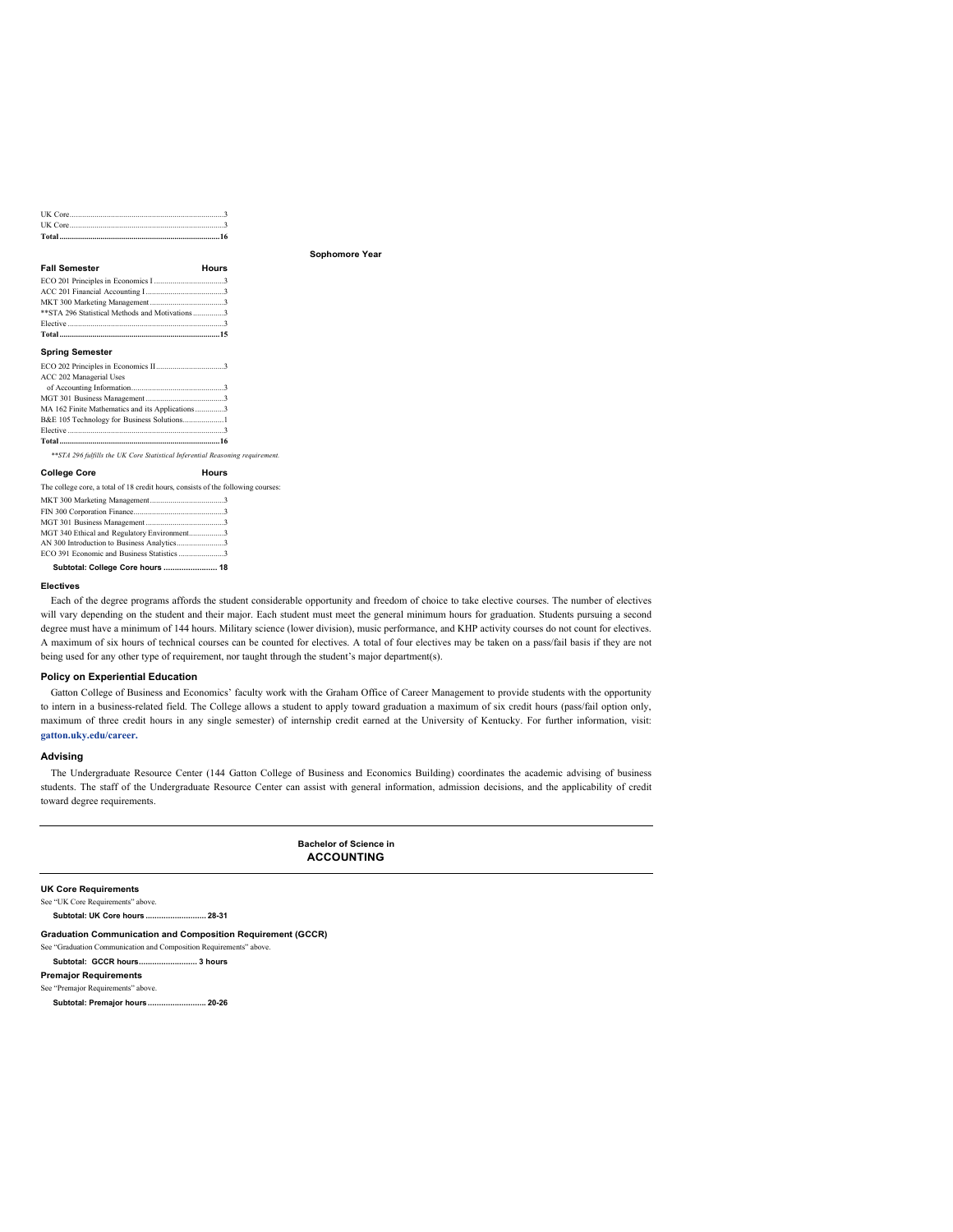| <b>Fall Semester</b>                             | Hours |
|--------------------------------------------------|-------|
|                                                  |       |
|                                                  |       |
|                                                  |       |
| ** STA 296 Statistical Methods and Motivations 3 |       |
|                                                  |       |
|                                                  |       |

### **Spring Semester**

| ACC 202 Managerial Uses                         |  |
|-------------------------------------------------|--|
|                                                 |  |
|                                                 |  |
| MA 162 Finite Mathematics and its Applications3 |  |
| B&E 105 Technology for Business Solutions1      |  |
|                                                 |  |
|                                                 |  |
|                                                 |  |

*\*\*STA 296 fulfills the UK Core Statistical Inferential Reasoning requirement.*

| <b>College Core</b>                                                              | Hours |
|----------------------------------------------------------------------------------|-------|
| The college core, a total of 18 credit hours, consists of the following courses: |       |
|                                                                                  |       |
|                                                                                  |       |
|                                                                                  |       |
| MGT 340 Ethical and Regulatory Environment3                                      |       |
| AN 300 Introduction to Business Analytics3                                       |       |
| ECO 391 Economic and Business Statistics 3                                       |       |

**Subtotal: College Core hours ........................ 18**

#### **Electives**

Each of the degree programs affords the student considerable opportunity and freedom of choice to take elective courses. The number of electives will vary depending on the student and their major. Each student must meet the general minimum hours for graduation. Students pursuing a second degree must have a minimum of 144 hours. Military science (lower division), music performance, and KHP activity courses do not count for electives. A maximum of six hours of technical courses can be counted for electives. A total of four electives may be taken on a pass/fail basis if they are not being used for any other type of requirement, nor taught through the student's major department(s).

**Sophomore Year**

### **Policy on Experiential Education**

Gatton College of Business and Economics' faculty work with the Graham Office of Career Management to provide students with the opportunity to intern in a business-related field. The College allows a student to apply toward graduation a maximum of six credit hours (pass/fail option only, maximum of three credit hours in any single semester) of internship credit earned at the University of Kentucky. For further information, visit: **gatton.uky.edu/career.**

#### **Advising**

The Undergraduate Resource Center (144 Gatton College of Business and Economics Building) coordinates the academic advising of business students. The staff of the Undergraduate Resource Center can assist with general information, admission decisions, and the applicability of credit toward degree requirements.

> **Bachelor of Science in ACCOUNTING**

**UK Core Requirements**

See "UK Core Requirements" above.

**Subtotal: UK Core hours ........................... 28-31**

**Graduation Communication and Composition Requirement (GCCR)**

See "Graduation Communication and Composition Requirements" above.

**Subtotal: GCCR hours.......................... 3 hours**

#### **Premajor Requirements** See "Premajor Requirements" above.

**Subtotal: Premajor hours.......................... 20-26**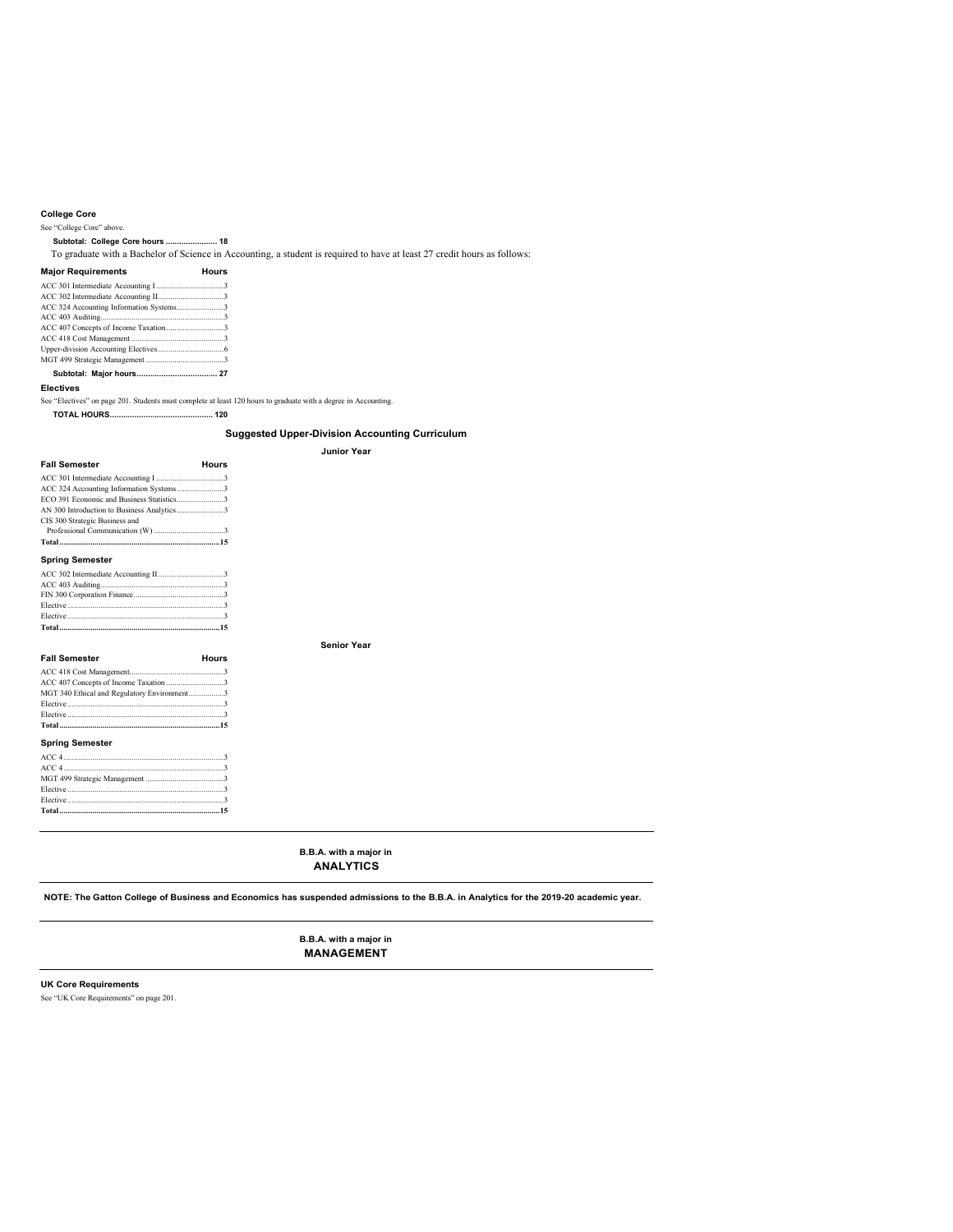### **College Core**

### See "College Core" above.

**Subtotal: College Core hours ....................... 18**

To graduate with a Bachelor of Science in Accounting, a student is required to have at least 27 credit hours as follows:

#### **Major Requirements Hours**

| ACC 324 Accounting Information Systems3 |  |
|-----------------------------------------|--|
|                                         |  |
|                                         |  |
|                                         |  |
|                                         |  |
|                                         |  |
|                                         |  |

### **Electives**

See "Electives" on page 201. Students must complete at least 120 hours to graduate with a degree in Accounting.

**TOTAL HOURS.............................................. 120**

### **Suggested Upper-Division Accounting Curriculum**

### **Junior Year**

**Senior Year**

| <b>Fall Semester</b>                        | Hours |
|---------------------------------------------|-------|
|                                             |       |
| ACC 324 Accounting Information Systems3     |       |
| ECO 391 Economic and Business Statistics3   |       |
| AN 300 Introduction to Business Analytics3  |       |
| CIS 300 Strategic Business and              |       |
|                                             |       |
|                                             |       |
| <b>Spring Semester</b>                      |       |
|                                             |       |
|                                             |       |
|                                             |       |
|                                             |       |
|                                             |       |
|                                             |       |
|                                             |       |
| <b>Fall Semester</b>                        | Hours |
|                                             |       |
| ACC 407 Concepts of Income Taxation 3       |       |
| MGT 340 Ethical and Regulatory Environment3 |       |
|                                             |       |
|                                             |       |
|                                             |       |
| <b>Spring Semester</b>                      |       |
| ACCA                                        | n,    |

| Elective 3 |  |
|------------|--|
|            |  |

**B.B.A. with a major in ANALYTICS**

**NOTE: The Gatton College of Business and Economics has suspended admissions to the B.B.A. in Analytics for the 2019-20 academic year.**

**B.B.A. with a major in MANAGEMENT**

### **UK Core Requirements**

See "UK Core Requirements" on page 201.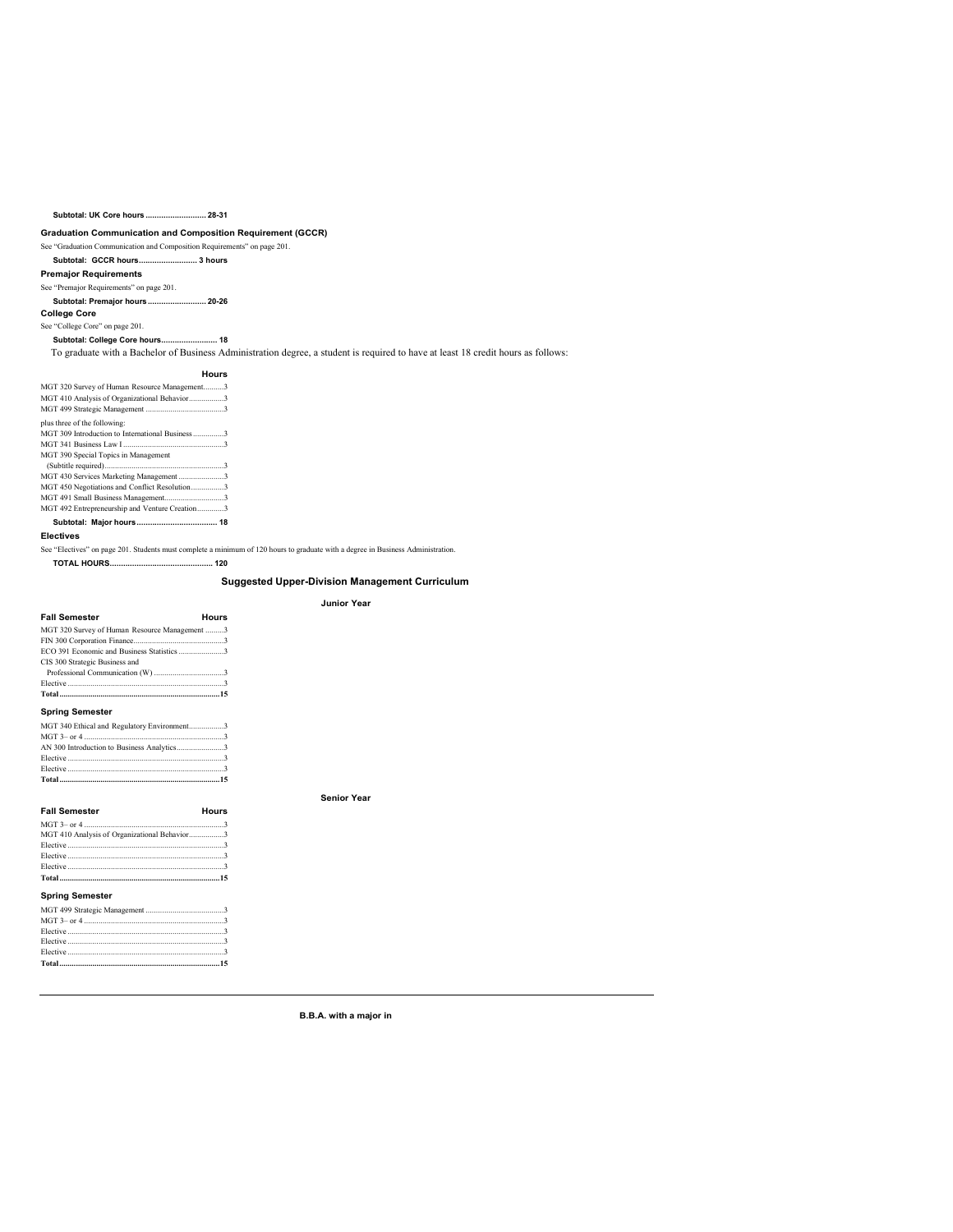### **Subtotal: UK Core hours ........................... 28-31**

### **Graduation Communication and Composition Requirement (GCCR)**

See "Graduation Communication and Composition Requirements" on page 201. **Subtotal: GCCR hours.......................... 3 hours Premajor Requirements** See "Premajor Requirements" on page 201. **Subtotal: Premajor hours.......................... 20-26**

### **College Core**

See "College Core" on page 201.

# **Subtotal: College Core hours......................... 18**

To graduate with a Bachelor of Business Administration degree, a student is required to have at least 18 credit hours as follows:

### **Hours** MGT 320 Survey of Human Resource Management..........3

| MGT 410 Analysis of Organizational Behavior3     |  |
|--------------------------------------------------|--|
|                                                  |  |
| plus three of the following:                     |  |
| MGT 309 Introduction to International Business 3 |  |
|                                                  |  |
| MGT 390 Special Topics in Management             |  |
|                                                  |  |
| MGT 430 Services Marketing Management3           |  |
| MGT 450 Negotiations and Conflict Resolution3    |  |
|                                                  |  |
| MGT 492 Entrepreneurship and Venture Creation3   |  |
|                                                  |  |

### **Electives**

See "Electives" on page 201. Students must complete a minimum of 120 hours to graduate with a degree in Business Administration.

**TOTAL HOURS.............................................. 120**

### **Suggested Upper-Division Management Curriculum Junior Year**

# **Fall Semester Hours** MGT 320 Survey of Human Resource Management .........3 FIN 300 Corporation Finance............................................3 ECO 391 Economic and Business Statistics......................3 CIS 300 Strategic Business and

| CIS 300 Strategic Business and |  |
|--------------------------------|--|
|                                |  |
|                                |  |
|                                |  |

### **Spring Semester**

| MGT 340 Ethical and Regulatory Environment3 |  |
|---------------------------------------------|--|
|                                             |  |
|                                             |  |
| $Flective$ 3                                |  |
| $Flective$ 3                                |  |
|                                             |  |

| <b>Fall Semester</b>                         | Hours |
|----------------------------------------------|-------|
|                                              |       |
| MGT 410 Analysis of Organizational Behavior3 |       |
|                                              |       |
|                                              |       |
|                                              |       |
|                                              |       |
| <b>Spring Semester</b>                       |       |
|                                              |       |
|                                              |       |

| Elective $\cdots$ 3 |  |
|---------------------|--|
|                     |  |

**B.B.A. with a major in**

**Senior Year**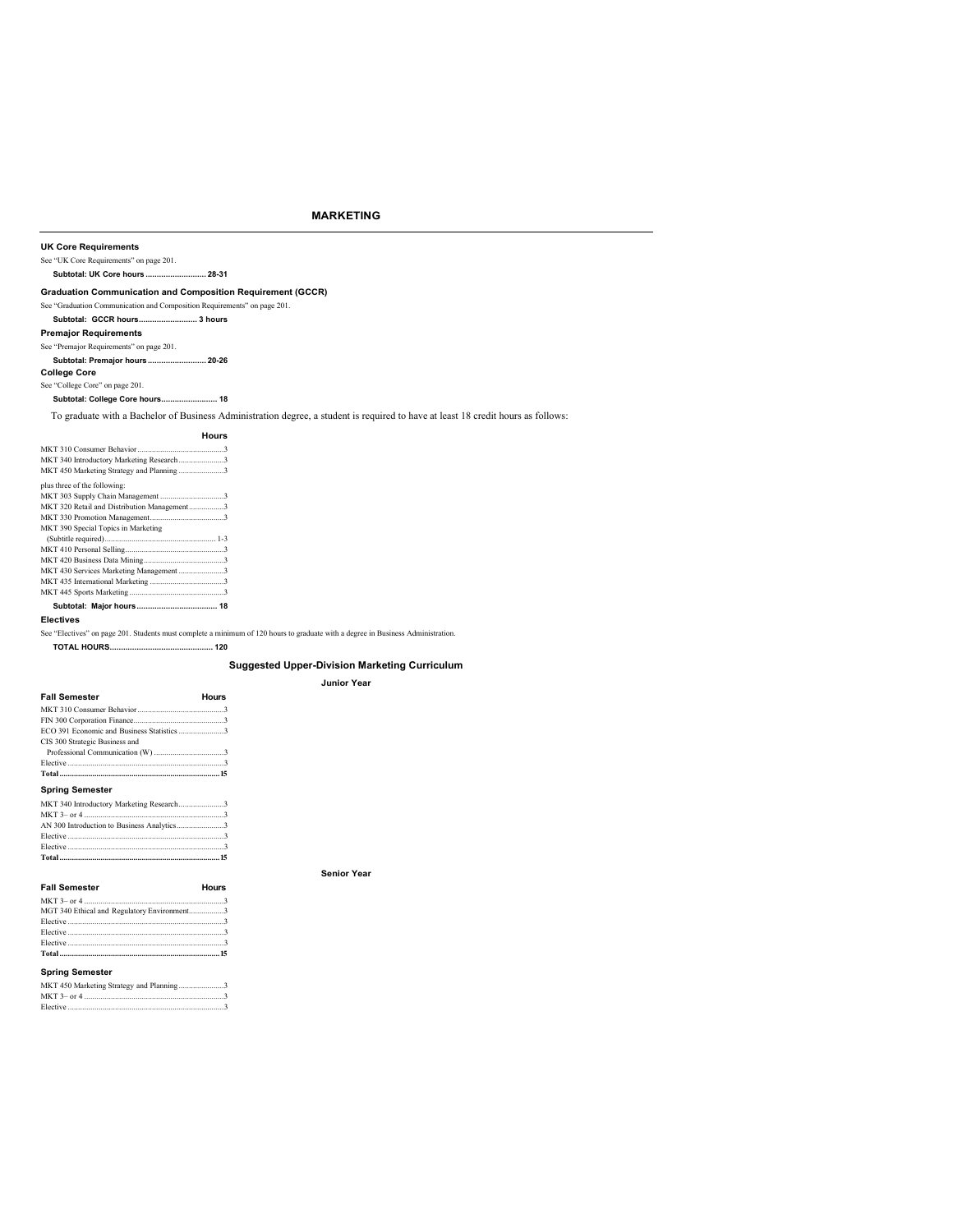### **MARKETING**

### **UK Core Requirements**

See "UK Core Requirements" on page 201.

### **Subtotal: UK Core hours ........................... 28-31**

### **Graduation Communication and Composition Requirement (GCCR)**

See "Graduation Communication and Composition Requirements" on page 201.

### **Subtotal: GCCR hours.......................... 3 hours**

**Premajor Requirements**

### See "Premajor Requirements" on page 201.

**Subtotal: Premajor hours.......................... 20-26**

### **College Core**

See "College Core" on page 201.

### **Subtotal: College Core hours......................... 18**

To graduate with a Bachelor of Business Administration degree, a student is required to have at least 18 credit hours as follows:

### **Hours** MKT 310 Consumer Behavior..........................................3

| MKT 340 Introductory Marketing Research3    |
|---------------------------------------------|
| MKT 450 Marketing Strategy and Planning3    |
| plus three of the following:                |
|                                             |
| MKT 320 Retail and Distribution Management3 |
|                                             |
| MKT 390 Special Topics in Marketing         |
|                                             |
|                                             |
|                                             |
| MKT 430 Services Marketing Management3      |
|                                             |
|                                             |
|                                             |

### **Electives**

See "Electives" on page 201. Students must complete a minimum of 120 hours to graduate with a degree in Business Administration.

### **TOTAL HOURS.............................................. 120**

### **Suggested Upper-Division Marketing Curriculum**

### **Junior Year**

| Fall Semester                              | Hours |
|--------------------------------------------|-------|
|                                            |       |
|                                            |       |
| ECO 391 Economic and Business Statistics 3 |       |
| CIS 300 Strategic Business and             |       |
|                                            |       |
|                                            |       |
|                                            |       |
|                                            |       |

### **Spring Semester**

| MKT 340 Introductory Marketing Research3 |  |
|------------------------------------------|--|
|                                          |  |
|                                          |  |
|                                          |  |
| Elective 3                               |  |
|                                          |  |

### **Fall Semester Hours**

### **Senior Year**

MKT 3– or 4 ....................................................................3 MGT 340 Ethical and Regulatory Environment.................3 Elective ............................................................................3 Elective ............................................................................3

### **Spring Semester**

Elective ............................................................................3

**Total..............................................................................15**

|                  |  |  |  | MKT 450 Marketing Strategy and Planning3 |  |
|------------------|--|--|--|------------------------------------------|--|
| $MUTT2 \ldots 4$ |  |  |  |                                          |  |

MKT 3– or 4 ....................................................................3 Elective ............................................................................3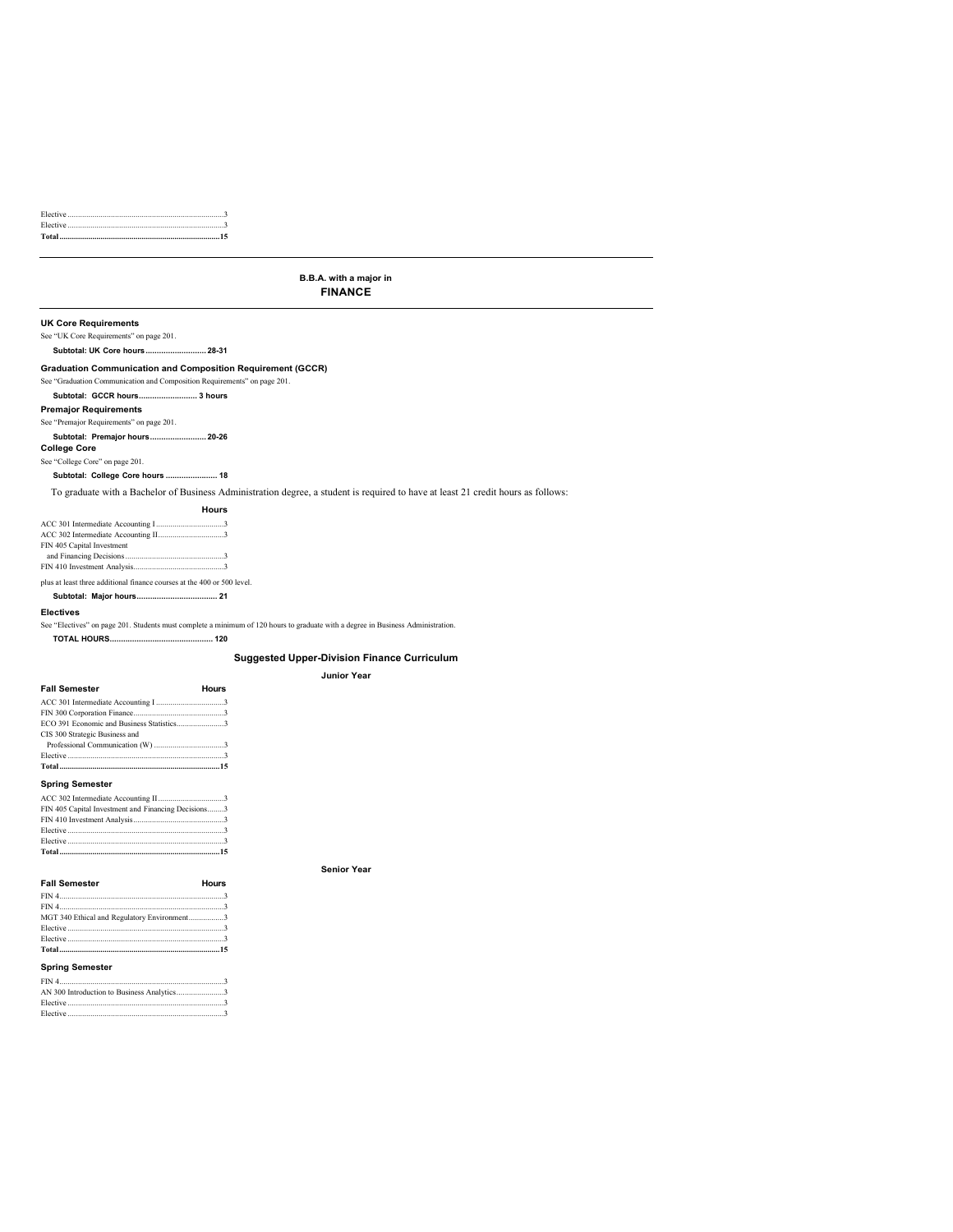### **B.B.A. with a major in FINANCE**

### **UK Core Requirements**

See "UK Core Requirements" on page 201.

**Subtotal: UK Core hours........................... 28-31**

### **Graduation Communication and Composition Requirement (GCCR)**

- See "Graduation Communication and Composition Requirements" on page 201.
- **Subtotal: GCCR hours.......................... 3 hours**

### **Premajor Requirements**

See "Premajor Requirements" on page 201. **Subtotal: Premajor hours......................... 20-26 College Core**

### See "College Core" on page 201.

**Subtotal: College Core hours ....................... 18**

### To graduate with a Bachelor of Business Administration degree, a student is required to have at least 21 credit hours as follows:

|                            | Hours |
|----------------------------|-------|
|                            |       |
|                            |       |
| FIN 405 Capital Investment |       |
|                            |       |
|                            |       |

plus at least three additional finance courses at the 400 or 500 level.

### **Subtotal: Major hours.................................... 21**

**Electives**

See "Electives" on page 201. Students must complete a minimum of 120 hours to graduate with a degree in Business Administration.

#### **TOTAL HOURS.............................................. 120**

**Suggested Upper-Division Finance Curriculum Junior Year**

**Senior Year**

#### **Fall Semester Hours**

| CIS 300 Strategic Business and |  |
|--------------------------------|--|
|                                |  |
|                                |  |
|                                |  |
| <b>Spring Semester</b>         |  |

| FIN 405 Capital Investment and Financing Decisions3 |  |
|-----------------------------------------------------|--|
|                                                     |  |

### **Fall Semester Hours** FIN 4................................................................................3 FIN 4................................................................................3 MGT 340 Ethical and Regulatory Environment.................3 Elective ............................................................................3

| <b>Coring Compator</b> |  |
|------------------------|--|
|                        |  |
|                        |  |
|                        |  |

### **Spring Semester**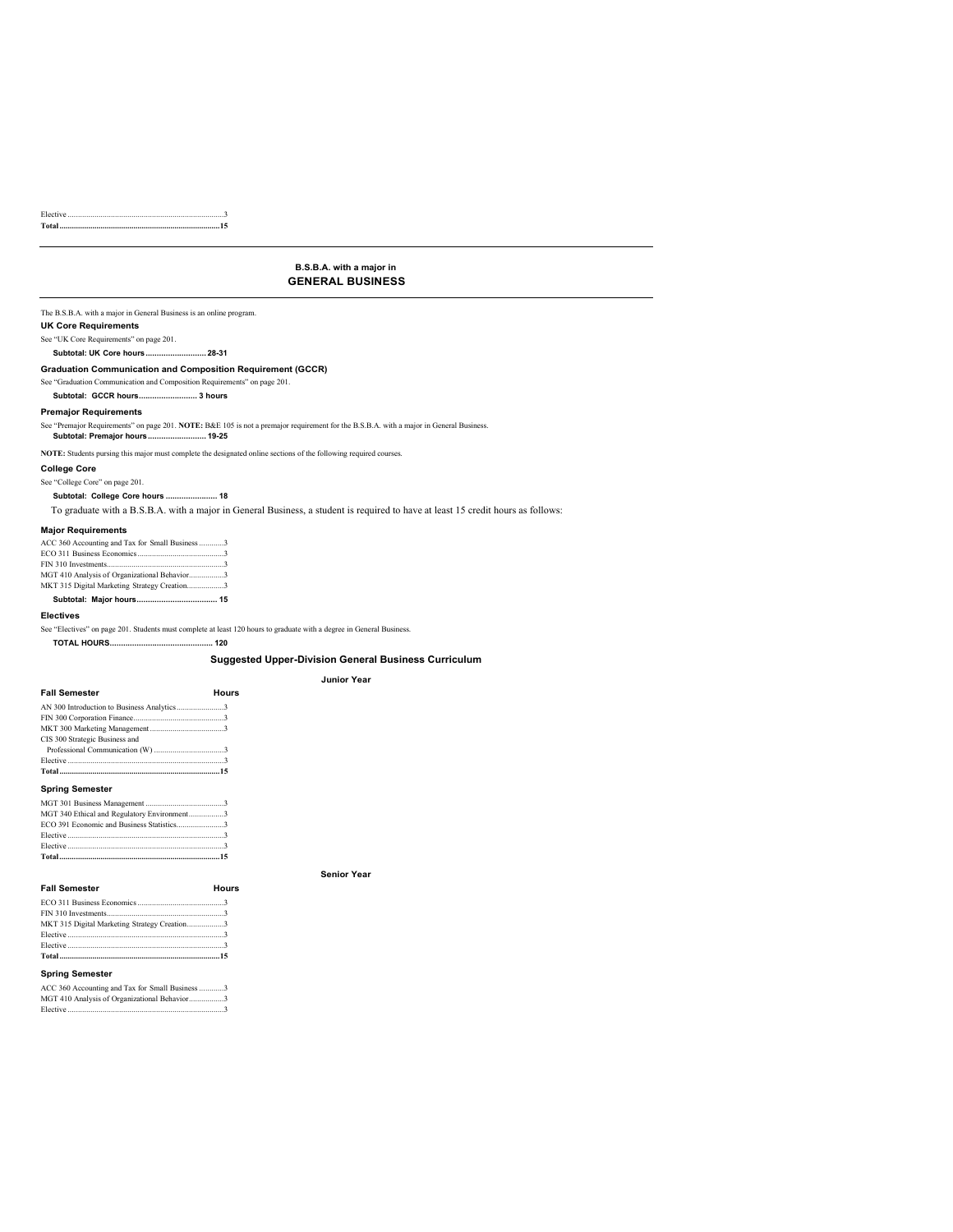Elective ............................................................................3 **Total..............................................................................15**

### **B.S.B.A. with a major in GENERAL BUSINESS**

The B.S.B.A. with a major in General Business is an online program.

### **UK Core Requirements**

See "UK Core Requirements" on page 201.

**Subtotal: UK Core hours........................... 28-31**

### **Graduation Communication and Composition Requirement (GCCR)**

See "Graduation Communication and Composition Requirements" on page 201.

### **Subtotal: GCCR hours.......................... 3 hours**

### **Premajor Requirements**

See "Premajor Requirements" on page 201. NOTE: B&E 105 is not a premajor requirement for the B.S.B.A. with a major in General Business.<br>Subtotal: Premajor hours ................................. 19-25

**NOTE:** Students pursing this major must complete the designated online sections of the following required courses.

### **College Core**

See "College Core" on page 201. **Subtotal: College Core hours ....................... 18**

To graduate with a B.S.B.A. with a major in General Business, a student is required to have at least 15 credit hours as follows:

### **Major Requirements**

| ACC 360 Accounting and Tax for Small Business 3 |
|-------------------------------------------------|
|                                                 |
|                                                 |
| MGT 410 Analysis of Organizational Behavior3    |
| MKT 315 Digital Marketing Strategy Creation3    |
|                                                 |

### **Electives**

See "Electives" on page 201. Students must complete at least 120 hours to graduate with a degree in General Business.

**TOTAL HOURS.............................................. 120**

### **Suggested Upper-Division General Business Curriculum**

**Senior Year**

### **Junior Year**

| <b>Fall Semester</b>                       | Hours |
|--------------------------------------------|-------|
| AN 300 Introduction to Business Analytics3 |       |
|                                            |       |
|                                            |       |
| CIS 300 Strategic Business and             |       |
|                                            |       |
| Flective 3                                 |       |
|                                            |       |
|                                            |       |

### **Spring Semester**

| ECO 391 Economic and Business Statistics3   |  |
|---------------------------------------------|--|
| MGT 340 Ethical and Regulatory Environment3 |  |
|                                             |  |

### **Fall Semester Hours**

| MKT 315 Digital Marketing Strategy Creation3 |  |
|----------------------------------------------|--|
| Elective 3                                   |  |
|                                              |  |
|                                              |  |
|                                              |  |

### **Spring Semester**

ACC 360 Accounting and Tax for Small Business ............3 MGT 410 Analysis of Organizational Behavior.................3 Elective .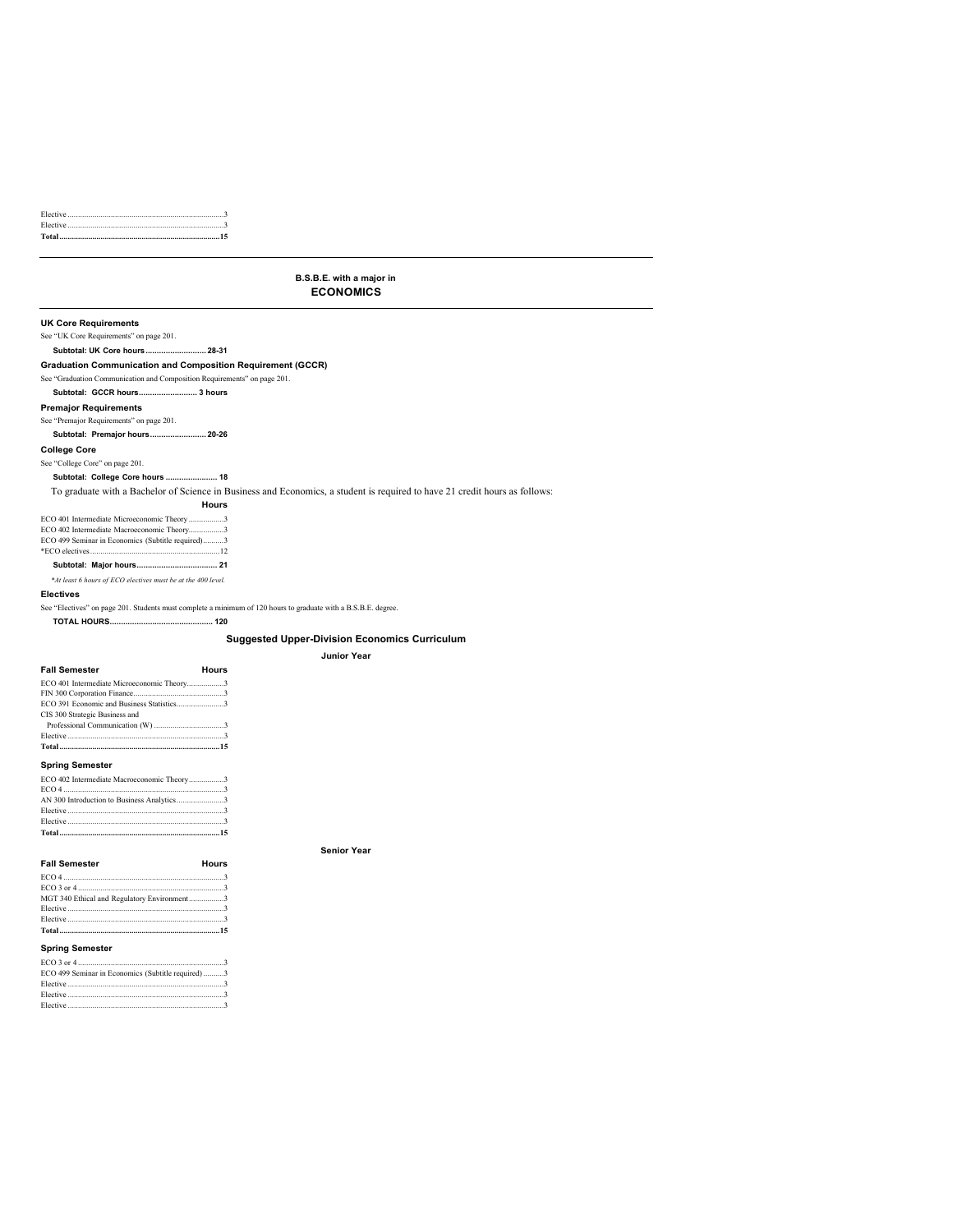### **B.S.B.E. with a major in ECONOMICS**

**Senior Year**

### **UK Core Requirements** See "UK Core Requirements" on page 201. **Subtotal: UK Core hours........................... 28-31 Graduation Communication and Composition Requirement (GCCR)** See "Graduation Communication and Composition Requirements" on page 201. **Subtotal: GCCR hours.......................... 3 hours Premajor Requirements** See "Premajor Requirements" on page 201. **Subtotal: Premajor hours......................... 20-26 College Core** See "College Core" on page 201. **Subtotal: College Core hours ....................... 18** To graduate with a Bachelor of Science in Business and Economics, a student is required to have 21 credit hours as follows: **Hours** ECO 401 Intermediate Microeconomic Theory .................3 ECO 402 Intermediate Macroeconomic Theory...................3 ECO 499 Seminar in Economics (Subtitle required)..........3 \*ECO electives...............................................................12 **Subtotal: Major hours.................................... 21** *\*At least 6 hours of ECO electives must be at the 400 level.* **Electives** See "Electives" on page 201. Students must complete a minimum of 120 hours to graduate with a B.S.B.E. degree. **TOTAL HOURS.............................................. 120 Suggested Upper-Division Economics Curriculum Junior Year Fall Semester Hours**

| ECO 401 Intermediate Microeconomic Theory3 |  |
|--------------------------------------------|--|
|                                            |  |
| ECO 391 Economic and Business Statistics3  |  |
| CIS 300 Strategic Business and             |  |
|                                            |  |
|                                            |  |
|                                            |  |
| <b>Spring Semester</b>                     |  |
|                                            |  |

| ECO 402 Intermediate Macroeconomic Theory3                                                                     |  |
|----------------------------------------------------------------------------------------------------------------|--|
|                                                                                                                |  |
|                                                                                                                |  |
|                                                                                                                |  |
| Elective 2008 and 2008 and 2008 and 2008 and 2008 and 2008 and 2008 and 2008 and 2008 and 2008 and 2008 and 20 |  |
|                                                                                                                |  |

| <b>Fall Semester</b>                        | Hours |
|---------------------------------------------|-------|
|                                             |       |
|                                             |       |
| MGT 340 Ethical and Regulatory Environment3 |       |
|                                             |       |
|                                             |       |
|                                             |       |

### **Spring Semester**

| ECO 499 Seminar in Economics (Subtitle required)3 |  |
|---------------------------------------------------|--|
|                                                   |  |
|                                                   |  |
|                                                   |  |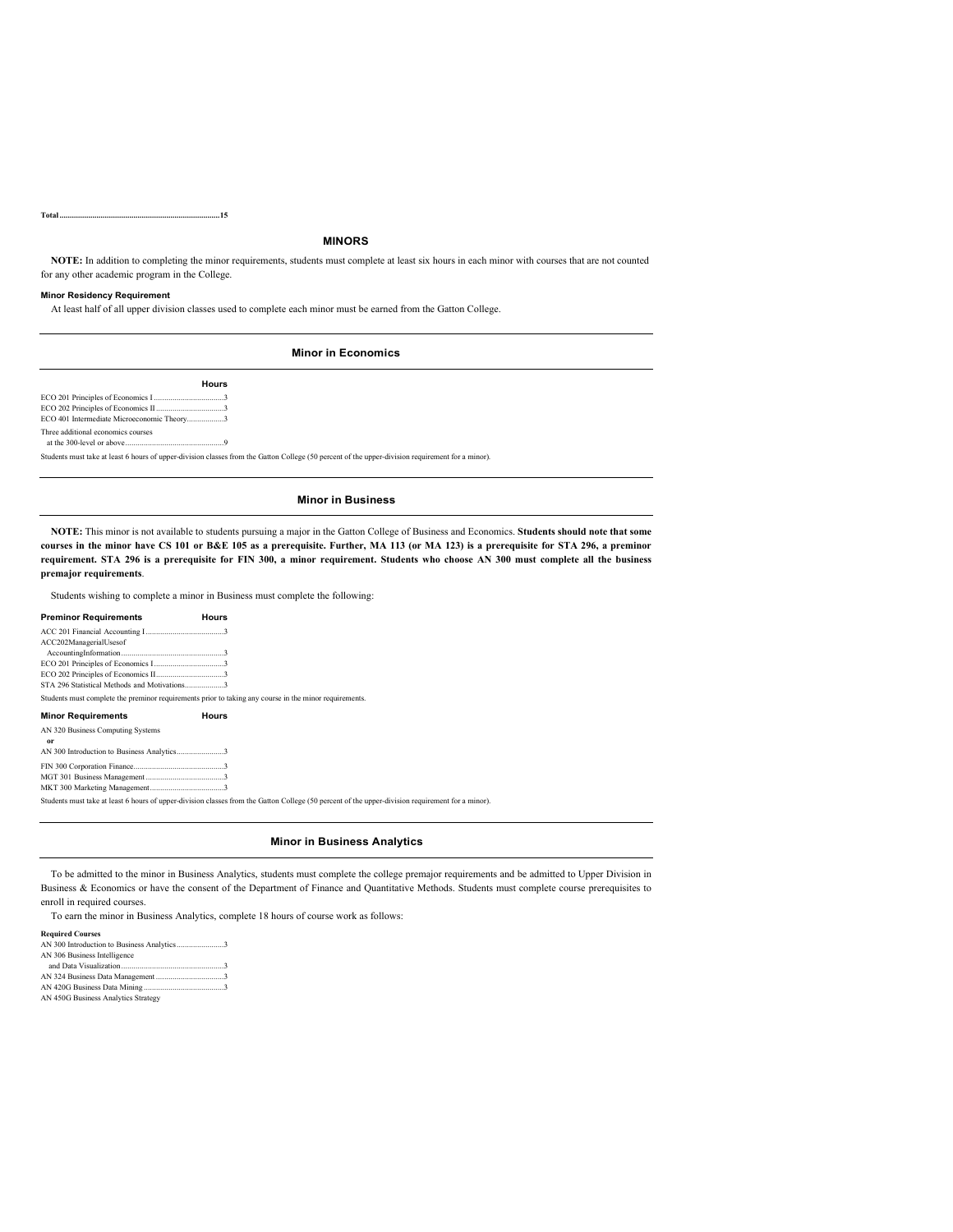**Total..............................................................................15**

### **MINORS**

**NOTE:** In addition to completing the minor requirements, students must complete at least six hours in each minor with courses that are not counted for any other academic program in the College.

### **Minor Residency Requirement**

At least half of all upper division classes used to complete each minor must be earned from the Gatton College.

### **Minor in Economics**

**Hours** ECO 201 Principles of Economics I ..................................3 ECO 202 Principles of Economics II.................................3 ECO 401 Intermediate Microeconomic Theory......... Three additional economics courses at the 300-level or above................................................9

Students must take at least 6 hours of upper-division classes from the Gatton College (50 percent of the upper-division requirement for a minor).

### **Minor in Business**

**NOTE:** This minor is not available to students pursuing a major in the Gatton College of Business and Economics. **Students should note that some courses in the minor have CS 101 or B&E 105 as a prerequisite. Further, MA 113 (or MA 123) is a prerequisite for STA 296, a preminor requirement. STA 296 is a prerequisite for FIN 300, a minor requirement. Students who choose AN 300 must complete all the business premajor requirements**.

Students wishing to complete a minor in Business must complete the following:

### **Preminor Requirements Hours**

ACC 201 Financial Accounting I......................................3 ACC202ManagerialUsesof AccountingInformation..................................................3 ECO 201 Principles of Economics I..................................3 ECO 202 Principles of Economics II.................................3 STA 296 Statistical Methods and Motivations......... Students must complete the preminor requirements prior to taking any course in the minor requirements. **Minor Requirements Hours** AN 320 Business Computing Systems or<br>
AN 300 Introduction to Business Analytics.......................3 FIN 300 Corporation Finance............................................3 MGT 301 Business Management ......................................3 MKT 300 Marketing Management....................................3 Students must take at least 6 hours of upper-division classes from the Gatton College (50 percent of the upper-division requirement for a minor).

### **Minor in Business Analytics**

To be admitted to the minor in Business Analytics, students must complete the college premajor requirements and be admitted to Upper Division in Business & Economics or have the consent of the Department of Finance and Quantitative Methods. Students must complete course prerequisites to enroll in required courses.

To earn the minor in Business Analytics, complete 18 hours of course work as follows:

#### **Required Courses**

| AN 306 Business Intelligence        |  |
|-------------------------------------|--|
|                                     |  |
|                                     |  |
|                                     |  |
| AN 450G Business Analytics Strategy |  |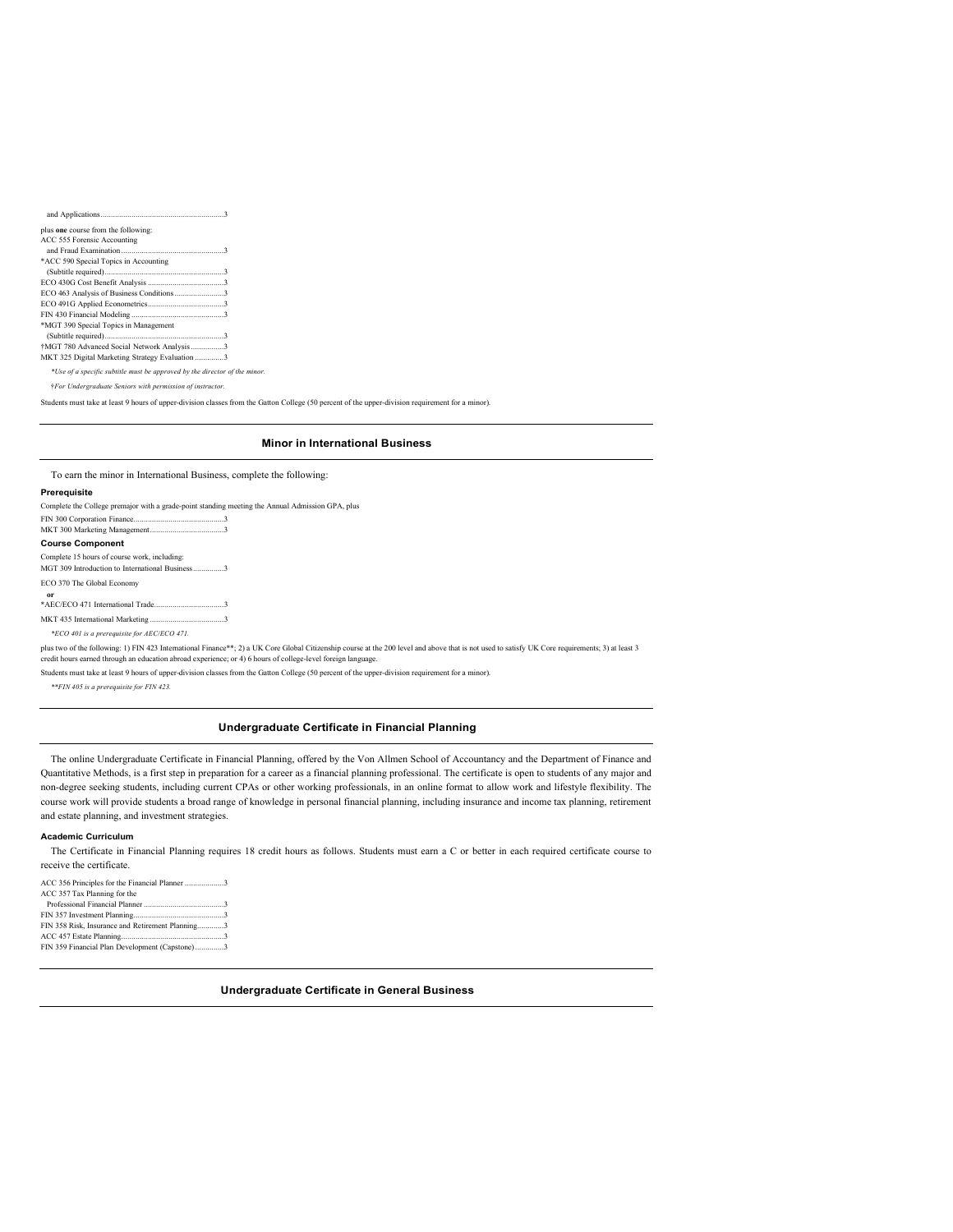| plus one course from the following:             |
|-------------------------------------------------|
| ACC 555 Forensic Accounting                     |
|                                                 |
| *ACC 590 Special Topics in Accounting           |
|                                                 |
|                                                 |
| ECO 463 Analysis of Business Conditions 3       |
|                                                 |
|                                                 |
| *MGT 390 Special Topics in Management           |
|                                                 |
| †MGT 780 Advanced Social Network Analysis 3     |
| MKT 325 Digital Marketing Strategy Evaluation 3 |
|                                                 |

*\*Use of a specific subtitle must be approved by the director of the minor.*

†*For Undergraduate Seniors with permission of instructor.*

Students must take at least 9 hours of upper-division classes from the Gatton College (50 percent of the upper-division requirement for a minor).

### **Minor in International Business**

To earn the minor in International Business, complete the following:

### **Prerequisite**

| Complete the College premajor with a grade-point standing meeting the Annual Admission GPA, plus                                                                                                                                                                                                                 |
|------------------------------------------------------------------------------------------------------------------------------------------------------------------------------------------------------------------------------------------------------------------------------------------------------------------|
|                                                                                                                                                                                                                                                                                                                  |
| <b>Course Component</b>                                                                                                                                                                                                                                                                                          |
| Complete 15 hours of course work, including:                                                                                                                                                                                                                                                                     |
| MGT 309 Introduction to International Business3                                                                                                                                                                                                                                                                  |
| ECO 370 The Global Economy                                                                                                                                                                                                                                                                                       |
| or                                                                                                                                                                                                                                                                                                               |
|                                                                                                                                                                                                                                                                                                                  |
|                                                                                                                                                                                                                                                                                                                  |
| *ECO 401 is a prerequisite for AEC/ECO 471.                                                                                                                                                                                                                                                                      |
| plus two of the following: 1) FIN 423 International Finance**; 2) a UK Core Global Citizenship course at the 200 level and above that is not used to satisfy UK Core requirements; 3) at least 3<br>credit hours earned through an education abroad experience; or 4) 6 hours of college-level foreign language. |
| and the second and the second and the second the second three controls of the second three seconds are the second to the second three seconds are the second to the second three seconds of the second seconds and the second                                                                                    |

must take at least 9 hours of upper-division classes from the Gatton College (50 percent of the upper-division requirement for a minor).

*\*\*FIN 405 is a prerequisite for FIN 423.*

### **Undergraduate Certificate in Financial Planning**

The online Undergraduate Certificate in Financial Planning, offered by the Von Allmen School of Accountancy and the Department of Finance and Quantitative Methods, is a first step in preparation for a career as a financial planning professional. The certificate is open to students of any major and non-degree seeking students, including current CPAs or other working professionals, in an online format to allow work and lifestyle flexibility. The course work will provide students a broad range of knowledge in personal financial planning, including insurance and income tax planning, retirement and estate planning, and investment strategies.

### **Academic Curriculum**

The Certificate in Financial Planning requires 18 credit hours as follows. Students must earn a C or better in each required certificate course to receive the certificate.

**Undergraduate Certificate in General Business**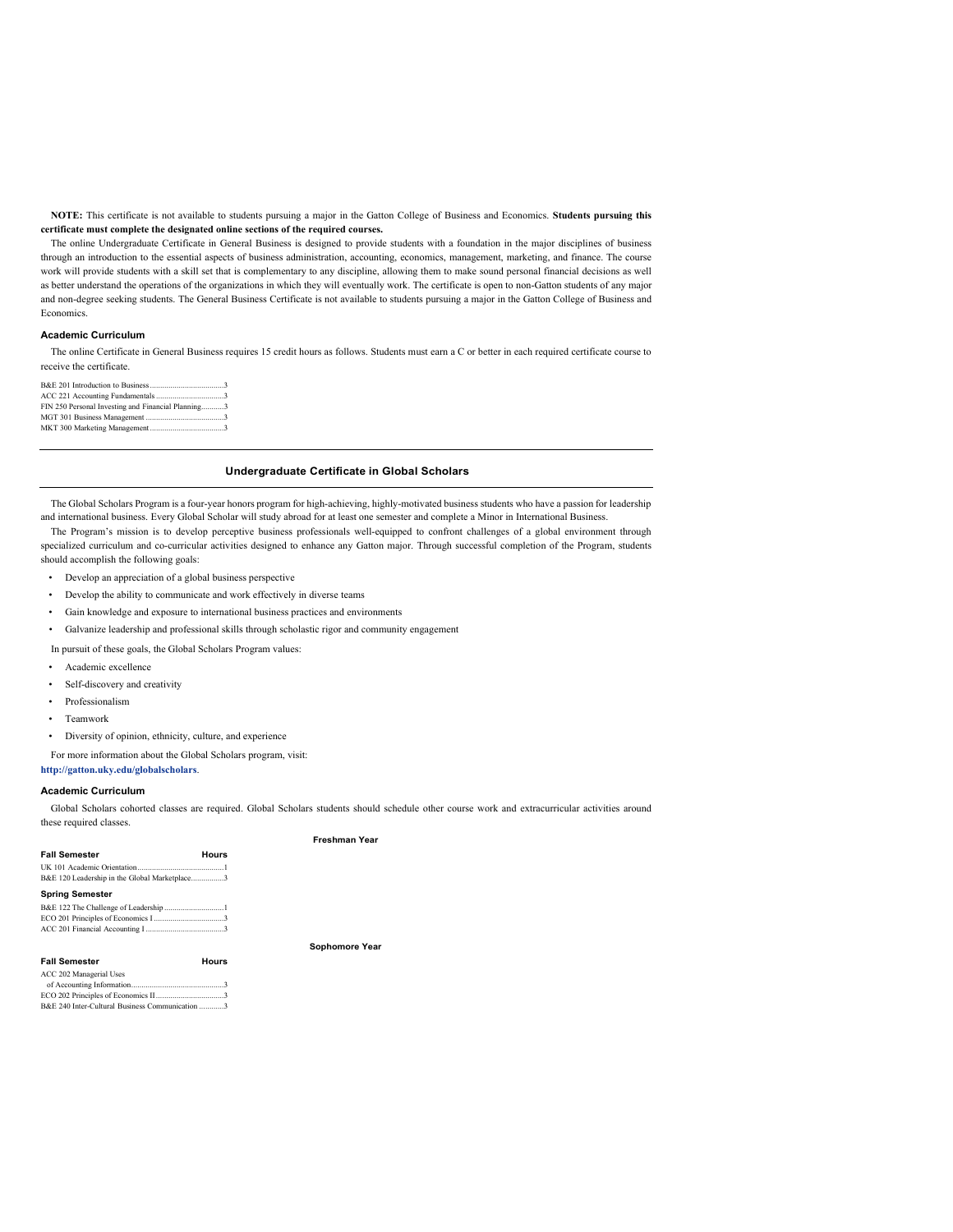**NOTE:** This certificate is not available to students pursuing a major in the Gatton College of Business and Economics. **Students pursuing this certificate must complete the designated online sections of the required courses.**

The online Undergraduate Certificate in General Business is designed to provide students with a foundation in the major disciplines of business through an introduction to the essential aspects of business administration, accounting, economics, management, marketing, and finance. The course work will provide students with a skill set that is complementary to any discipline, allowing them to make sound personal financial decisions as well as better understand the operations of the organizations in which they will eventually work. The certificate is open to non-Gatton students of any major and non-degree seeking students. The General Business Certificate is not available to students pursuing a major in the Gatton College of Business and Economics.

#### **Academic Curriculum**

The online Certificate in General Business requires 15 credit hours as follows. Students must earn a C or better in each required certificate course to receive the certificate.

| FIN 250 Personal Investing and Financial Planning3 |  |
|----------------------------------------------------|--|
|                                                    |  |
|                                                    |  |

### **Undergraduate Certificate in Global Scholars**

The Global Scholars Program is a four-year honors program for high-achieving, highly-motivated business students who have a passion for leadership and international business. Every Global Scholar will study abroad for at least one semester and complete a Minor in International Business.

The Program's mission is to develop perceptive business professionals well-equipped to confront challenges of a global environment through specialized curriculum and co-curricular activities designed to enhance any Gatton major. Through successful completion of the Program, students should accomplish the following goals:

- Develop an appreciation of a global business perspective
- Develop the ability to communicate and work effectively in diverse teams
- Gain knowledge and exposure to international business practices and environments
- Galvanize leadership and professional skills through scholastic rigor and community engagement

In pursuit of these goals, the Global Scholars Program values:

- Academic excellence
- Self-discovery and creativity
- Professionalism
- Teamwork
- Diversity of opinion, ethnicity, culture, and experience

For more information about the Global Scholars program, visit:

**<http://gatton.uky.edu/globalscholars>**.

#### **Academic Curriculum**

Global Scholars cohorted classes are required. Global Scholars students should schedule other course work and extracurricular activities around these required classes.

|                                                 |       | Freshman Year  |
|-------------------------------------------------|-------|----------------|
| <b>Fall Semester</b>                            | Hours |                |
|                                                 |       |                |
| B&E 120 Leadership in the Global Marketplace3   |       |                |
| <b>Spring Semester</b>                          |       |                |
|                                                 |       |                |
|                                                 |       |                |
|                                                 |       |                |
|                                                 |       | Sophomore Year |
| <b>Fall Semester</b>                            | Hours |                |
| ACC 202 Managerial Uses                         |       |                |
|                                                 |       |                |
|                                                 |       |                |
| B&E 240 Inter-Cultural Business Communication 3 |       |                |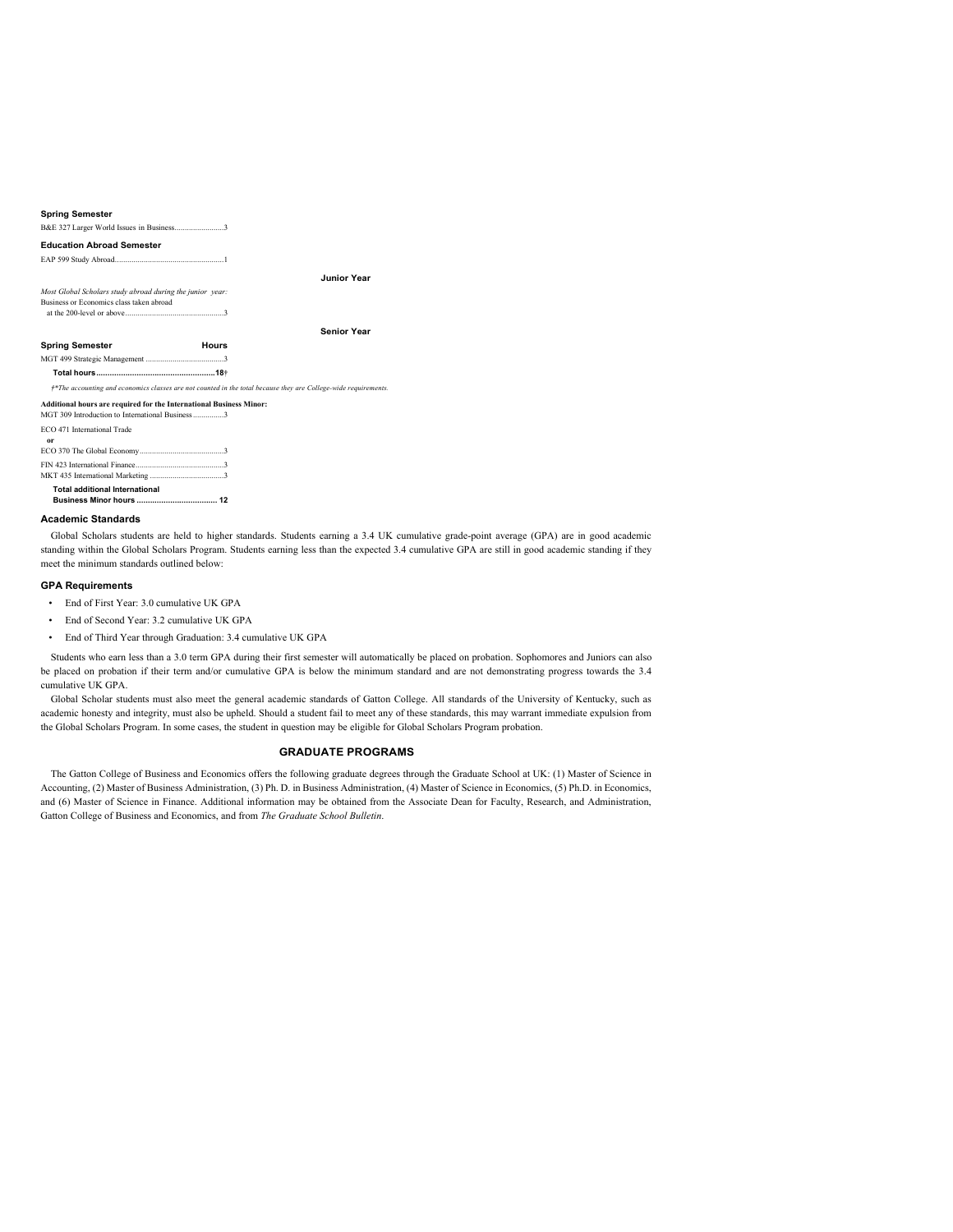| <b>Spring Semester</b>                                                                                                  |                                                                                                                 |  |
|-------------------------------------------------------------------------------------------------------------------------|-----------------------------------------------------------------------------------------------------------------|--|
| B&E 327 Larger World Issues in Business3                                                                                |                                                                                                                 |  |
| <b>Education Abroad Semester</b>                                                                                        |                                                                                                                 |  |
|                                                                                                                         |                                                                                                                 |  |
|                                                                                                                         | <b>Junior Year</b>                                                                                              |  |
| Most Global Scholars study abroad during the junior year:                                                               |                                                                                                                 |  |
| Business or Economics class taken abroad                                                                                |                                                                                                                 |  |
|                                                                                                                         |                                                                                                                 |  |
|                                                                                                                         | <b>Senior Year</b>                                                                                              |  |
| <b>Spring Semester</b>                                                                                                  | Hours                                                                                                           |  |
|                                                                                                                         |                                                                                                                 |  |
|                                                                                                                         |                                                                                                                 |  |
|                                                                                                                         | †*The accounting and economics classes are not counted in the total because they are College-wide requirements. |  |
|                                                                                                                         |                                                                                                                 |  |
| Additional hours are required for the International Business Minor:<br>MGT 309 Introduction to International Business 3 |                                                                                                                 |  |
| ECO 471 International Trade                                                                                             |                                                                                                                 |  |
| 0r                                                                                                                      |                                                                                                                 |  |
|                                                                                                                         |                                                                                                                 |  |
|                                                                                                                         |                                                                                                                 |  |

**Business Minor hours .................................... 12 Academic Standards**

Global Scholars students are held to higher standards. Students earning a 3.4 UK cumulative grade-point average (GPA) are in good academic standing within the Global Scholars Program. Students earning less than the expected 3.4 cumulative GPA are still in good academic standing if they meet the minimum standards outlined below:

### **GPA Requirements**

**Total additional International**

- End of First Year: 3.0 cumulative UK GPA
- End of Second Year: 3.2 cumulative UK GPA
- End of Third Year through Graduation: 3.4 cumulative UK GPA

Students who earn less than a 3.0 term GPA during their first semester will automatically be placed on probation. Sophomores and Juniors can also be placed on probation if their term and/or cumulative GPA is below the minimum standard and are not demonstrating progress towards the 3.4 cumulative UK GPA.

Global Scholar students must also meet the general academic standards of Gatton College. All standards of the University of Kentucky, such as academic honesty and integrity, must also be upheld. Should a student fail to meet any of these standards, this may warrant immediate expulsion from the Global Scholars Program. In some cases, the student in question may be eligible for Global Scholars Program probation.

### **GRADUATE PROGRAMS**

The Gatton College of Business and Economics offers the following graduate degrees through the Graduate School at UK: (1) Master of Science in Accounting, (2) Master of Business Administration, (3) Ph. D. in Business Administration, (4) Master of Science in Economics, (5) Ph.D. in Economics, and (6) Master of Science in Finance. Additional information may be obtained from the Associate Dean for Faculty, Research, and Administration, Gatton College of Business and Economics, and from *The Graduate School Bulletin*.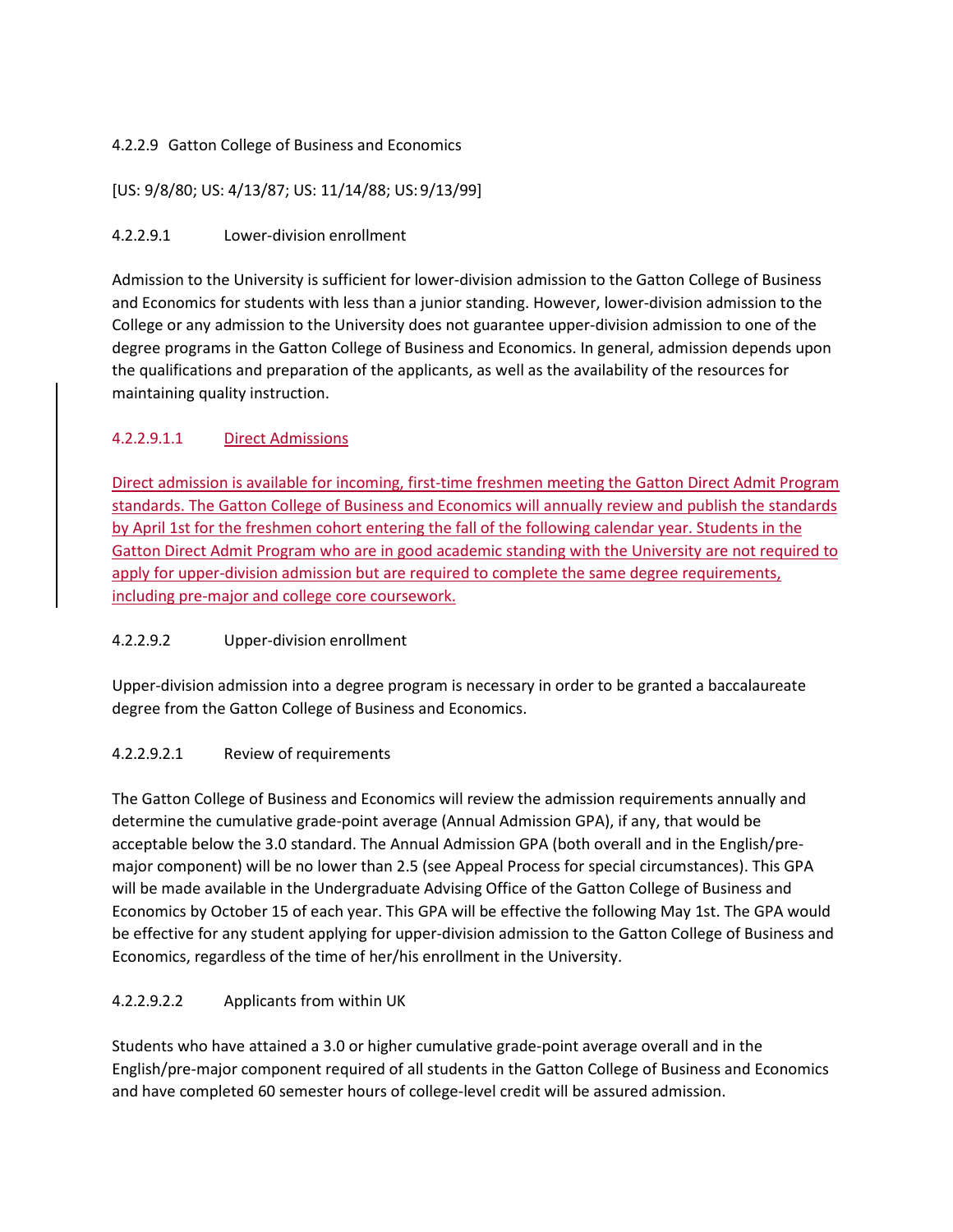### 4.2.2.9 Gatton College of Business and Economics

[US: 9/8/80; US: 4/13/87; US: 11/14/88; US:9/13/99]

### 4.2.2.9.1 Lower-division enrollment

Admission to the University is sufficient for lower-division admission to the Gatton College of Business and Economics for students with less than a junior standing. However, lower-division admission to the College or any admission to the University does not guarantee upper-division admission to one of the degree programs in the Gatton College of Business and Economics. In general, admission depends upon the qualifications and preparation of the applicants, as well as the availability of the resources for maintaining quality instruction.

### 4.2.2.9.1.1 Direct Admissions

Direct admission is available for incoming, first-time freshmen meeting the Gatton Direct Admit Program standards. The Gatton College of Business and Economics will annually review and publish the standards by April 1st for the freshmen cohort entering the fall of the following calendar year. Students in the Gatton Direct Admit Program who are in good academic standing with the University are not required to apply for upper-division admission but are required to complete the same degree requirements, including pre-major and college core coursework.

### 4.2.2.9.2 Upper-division enrollment

Upper-division admission into a degree program is necessary in order to be granted a baccalaureate degree from the Gatton College of Business and Economics.

### 4.2.2.9.2.1 Review of requirements

The Gatton College of Business and Economics will review the admission requirements annually and determine the cumulative grade-point average (Annual Admission GPA), if any, that would be acceptable below the 3.0 standard. The Annual Admission GPA (both overall and in the English/premajor component) will be no lower than 2.5 (see Appeal Process for special circumstances). This GPA will be made available in the Undergraduate Advising Office of the Gatton College of Business and Economics by October 15 of each year. This GPA will be effective the following May 1st. The GPA would be effective for any student applying for upper-division admission to the Gatton College of Business and Economics, regardless of the time of her/his enrollment in the University.

### 4.2.2.9.2.2 Applicants from within UK

Students who have attained a 3.0 or higher cumulative grade-point average overall and in the English/pre-major component required of all students in the Gatton College of Business and Economics and have completed 60 semester hours of college-level credit will be assured admission.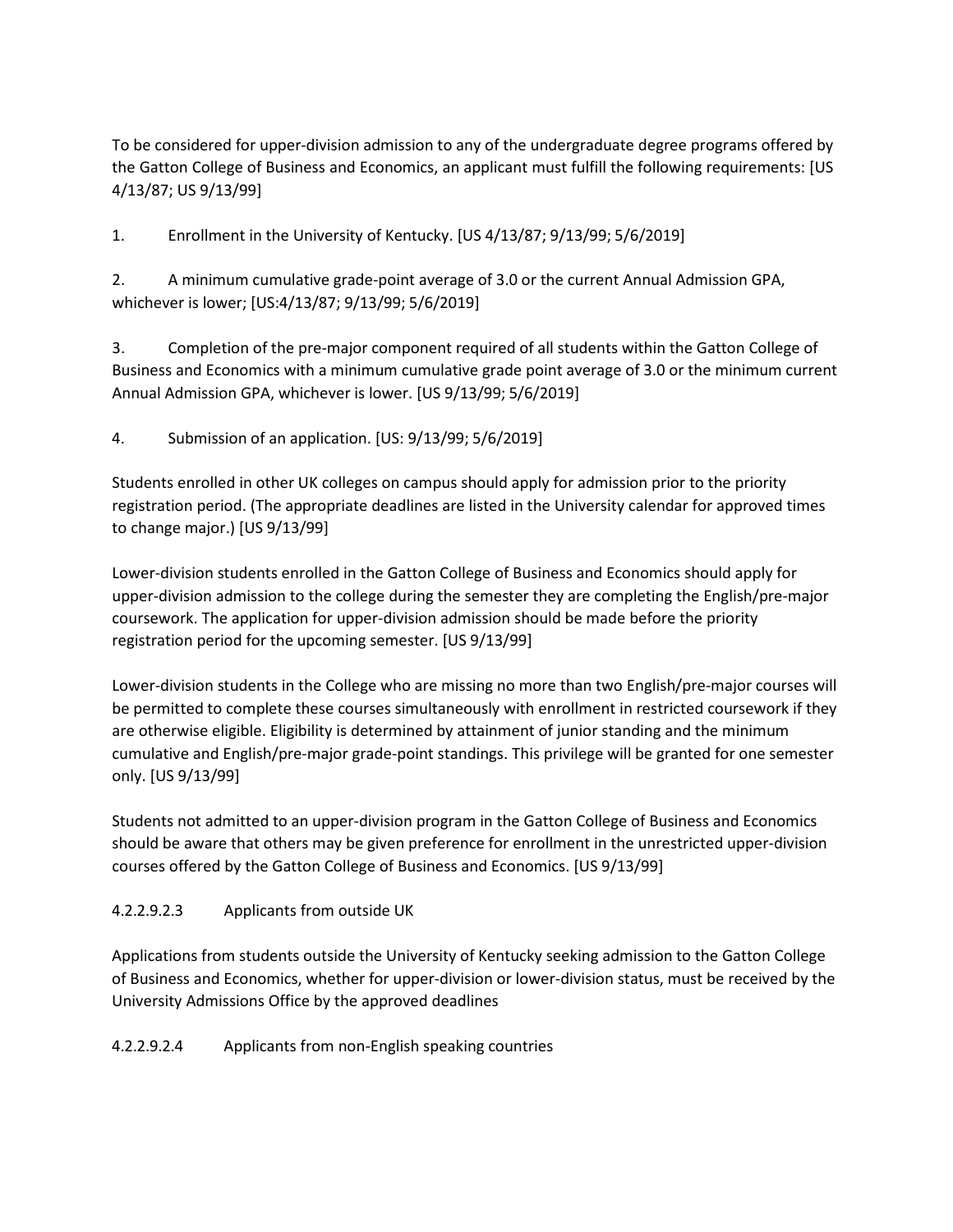To be considered for upper-division admission to any of the undergraduate degree programs offered by the Gatton College of Business and Economics, an applicant must fulfill the following requirements: [US 4/13/87; US 9/13/99]

1. Enrollment in the University of Kentucky. [US 4/13/87; 9/13/99; 5/6/2019]

2. A minimum cumulative grade-point average of 3.0 or the current Annual Admission GPA, whichever is lower; [US:4/13/87; 9/13/99; 5/6/2019]

3. Completion of the pre-major component required of all students within the Gatton College of Business and Economics with a minimum cumulative grade point average of 3.0 or the minimum current Annual Admission GPA, whichever is lower. [US 9/13/99; 5/6/2019]

4. Submission of an application. [US: 9/13/99; 5/6/2019]

Students enrolled in other UK colleges on campus should apply for admission prior to the priority registration period. (The appropriate deadlines are listed in the University calendar for approved times to change major.) [US 9/13/99]

Lower-division students enrolled in the Gatton College of Business and Economics should apply for upper-division admission to the college during the semester they are completing the English/pre-major coursework. The application for upper-division admission should be made before the priority registration period for the upcoming semester. [US 9/13/99]

Lower-division students in the College who are missing no more than two English/pre-major courses will be permitted to complete these courses simultaneously with enrollment in restricted coursework if they are otherwise eligible. Eligibility is determined by attainment of junior standing and the minimum cumulative and English/pre-major grade-point standings. This privilege will be granted for one semester only. [US 9/13/99]

Students not admitted to an upper-division program in the Gatton College of Business and Economics should be aware that others may be given preference for enrollment in the unrestricted upper-division courses offered by the Gatton College of Business and Economics. [US 9/13/99]

### 4.2.2.9.2.3 Applicants from outside UK

Applications from students outside the University of Kentucky seeking admission to the Gatton College of Business and Economics, whether for upper-division or lower-division status, must be received by the University Admissions Office by the approved deadlines

4.2.2.9.2.4 Applicants from non-English speaking countries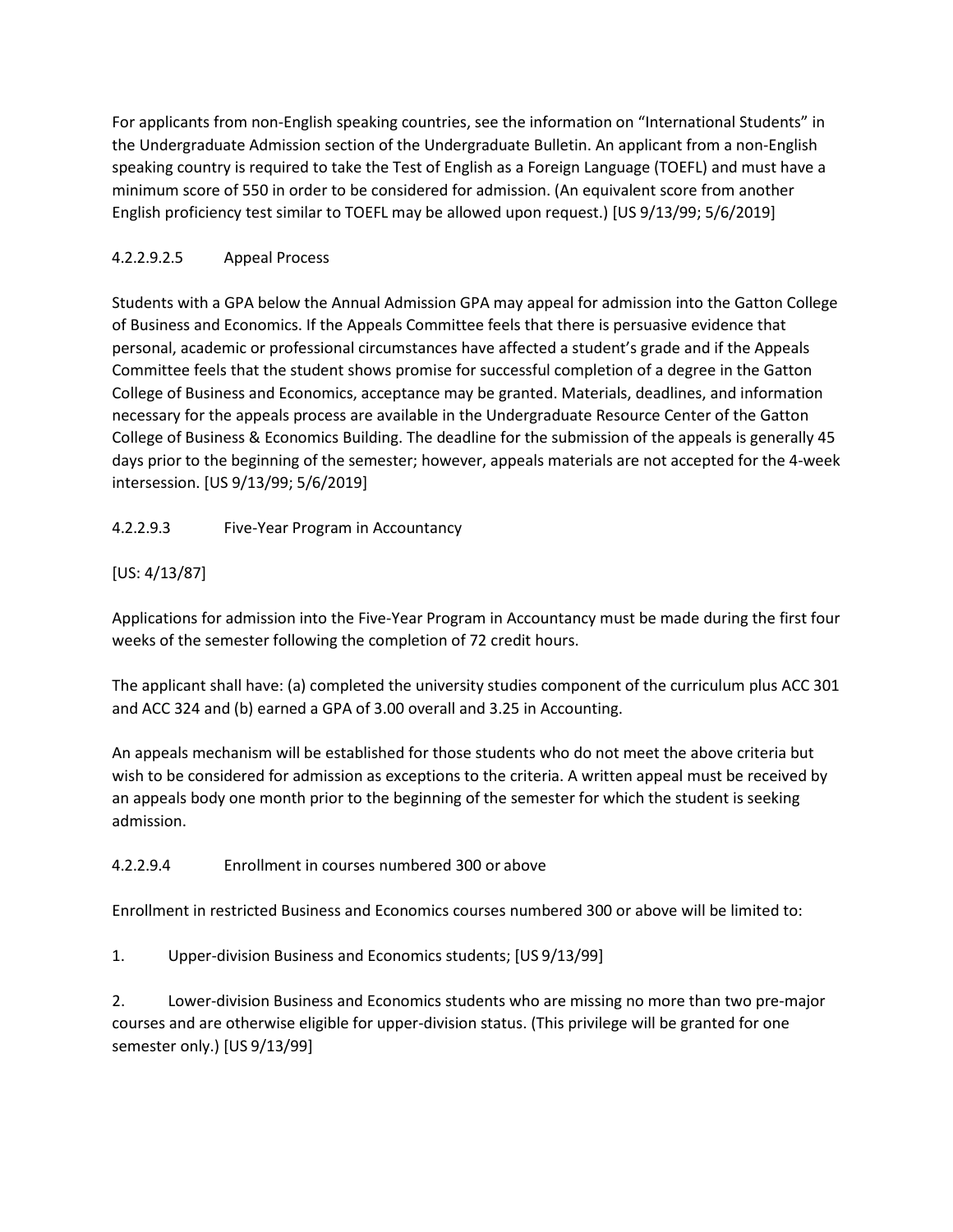For applicants from non-English speaking countries, see the information on "International Students" in the Undergraduate Admission section of the Undergraduate Bulletin. An applicant from a non-English speaking country is required to take the Test of English as a Foreign Language (TOEFL) and must have a minimum score of 550 in order to be considered for admission. (An equivalent score from another English proficiency test similar to TOEFL may be allowed upon request.) [US 9/13/99; 5/6/2019]

### 4.2.2.9.2.5 Appeal Process

Students with a GPA below the Annual Admission GPA may appeal for admission into the Gatton College of Business and Economics. If the Appeals Committee feels that there is persuasive evidence that personal, academic or professional circumstances have affected a student's grade and if the Appeals Committee feels that the student shows promise for successful completion of a degree in the Gatton College of Business and Economics, acceptance may be granted. Materials, deadlines, and information necessary for the appeals process are available in the Undergraduate Resource Center of the Gatton College of Business & Economics Building. The deadline for the submission of the appeals is generally 45 days prior to the beginning of the semester; however, appeals materials are not accepted for the 4-week intersession. [US 9/13/99; 5/6/2019]

4.2.2.9.3 Five-Year Program in Accountancy

[US: 4/13/87]

Applications for admission into the Five-Year Program in Accountancy must be made during the first four weeks of the semester following the completion of 72 credit hours.

The applicant shall have: (a) completed the university studies component of the curriculum plus ACC 301 and ACC 324 and (b) earned a GPA of 3.00 overall and 3.25 in Accounting.

An appeals mechanism will be established for those students who do not meet the above criteria but wish to be considered for admission as exceptions to the criteria. A written appeal must be received by an appeals body one month prior to the beginning of the semester for which the student is seeking admission.

4.2.2.9.4 Enrollment in courses numbered 300 or above

Enrollment in restricted Business and Economics courses numbered 300 or above will be limited to:

1. Upper-division Business and Economics students; [US 9/13/99]

2. Lower-division Business and Economics students who are missing no more than two pre-major courses and are otherwise eligible for upper-division status. (This privilege will be granted for one semester only.) [US 9/13/99]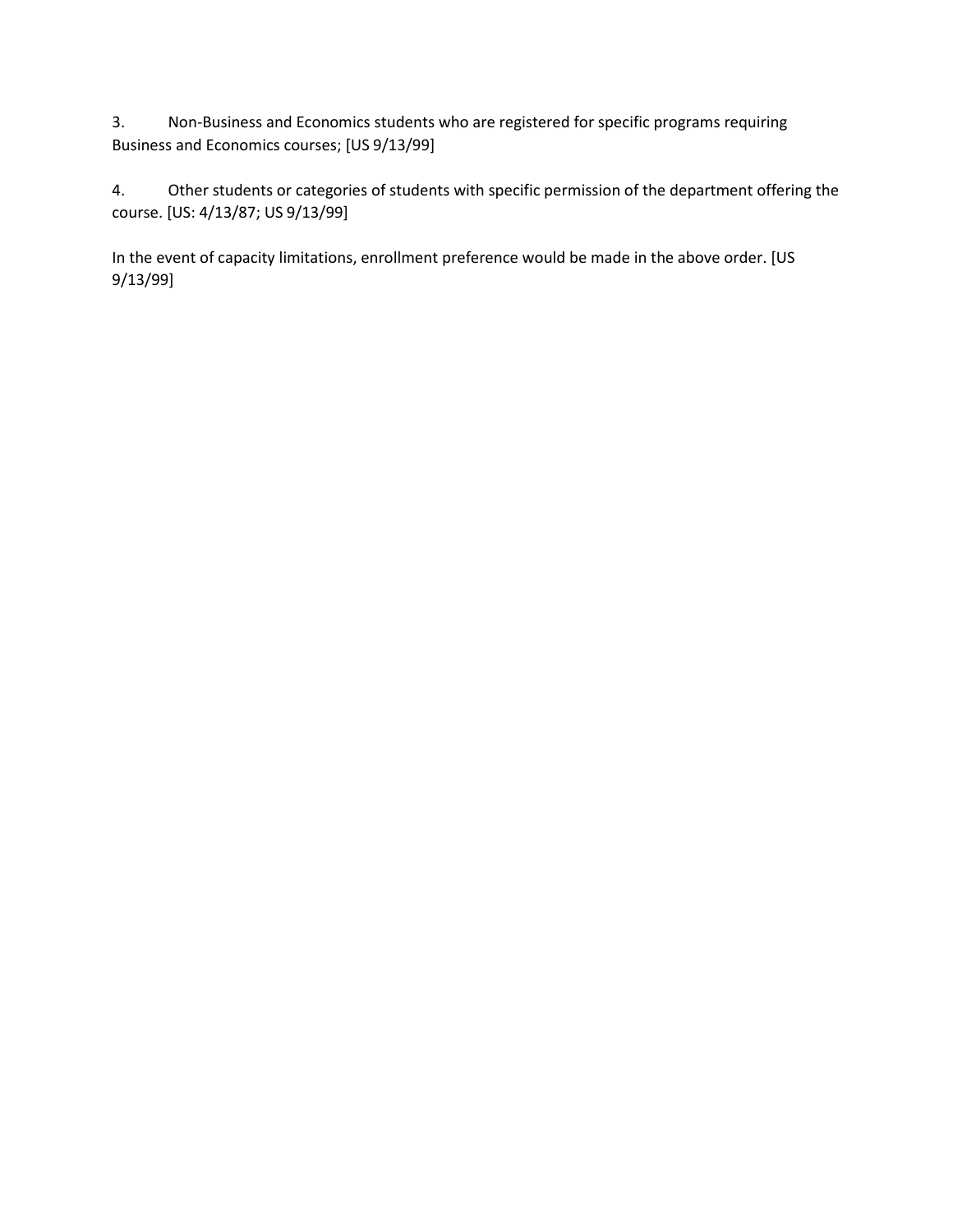3. Non-Business and Economics students who are registered for specific programs requiring Business and Economics courses; [US 9/13/99]

4. Other students or categories of students with specific permission of the department offering the course. [US: 4/13/87; US 9/13/99]

In the event of capacity limitations, enrollment preference would be made in the above order. [US 9/13/99]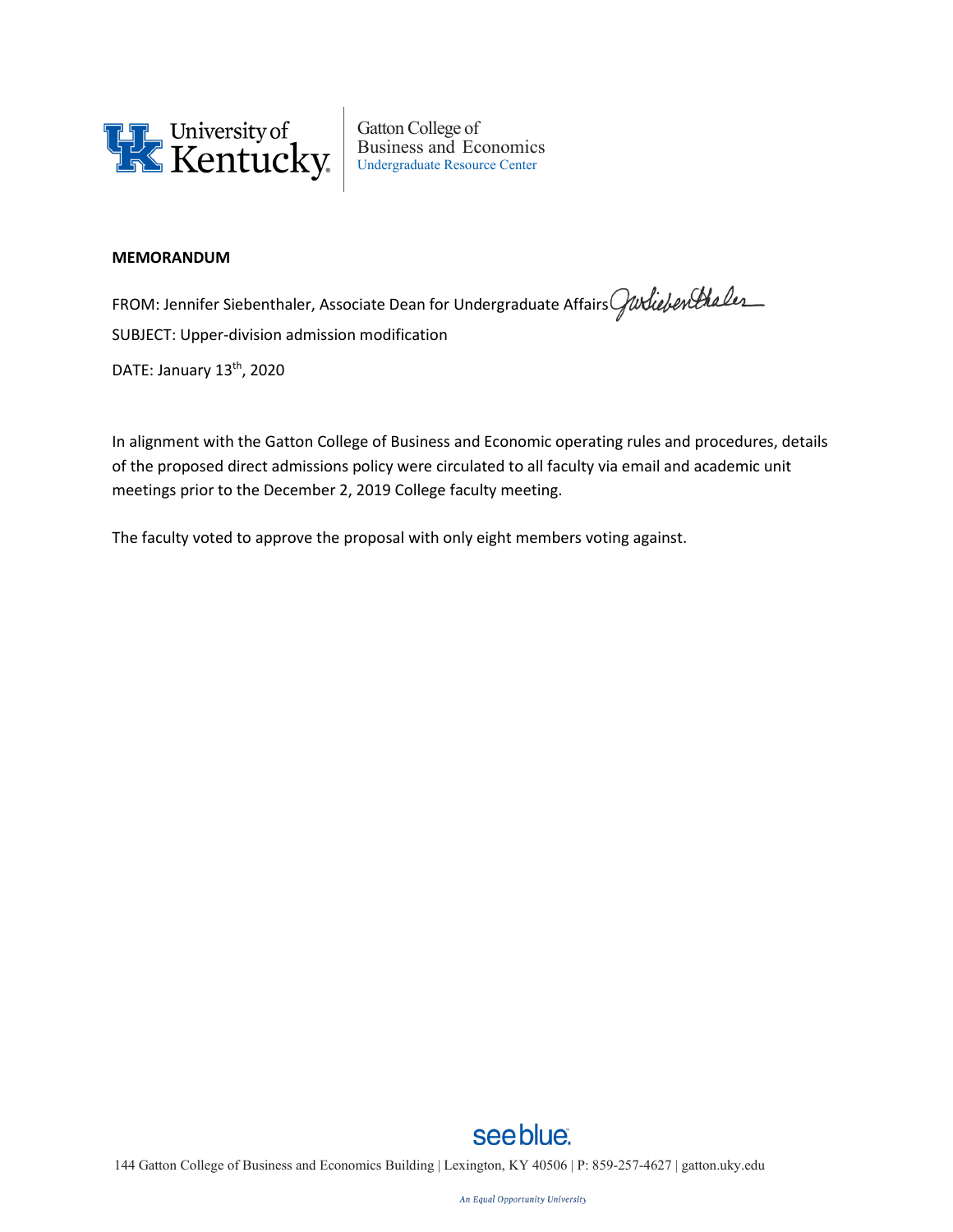

Gatton College of Business and Economics Undergraduate Resource Center

### **MEMORANDUM**

FROM: Jennifer Siebenthaler, Associate Dean for Undergraduate Affairs Gurliebenthaler SUBJECT: Upper-division admission modification DATE: January 13<sup>th</sup>, 2020

In alignment with the Gatton College of Business and Economic operating rules and procedures, details of the proposed direct admissions policy were circulated to all faculty via email and academic unit meetings prior to the December 2, 2019 College faculty meeting.

The faculty voted to approve the proposal with only eight members voting against.

## see blue. 144 Gatton College of Business and Economics Building | Lexington, KY 40506 | P: 859-257-4627 | [gatton.uky.edu](http://gatton.uky.edu/)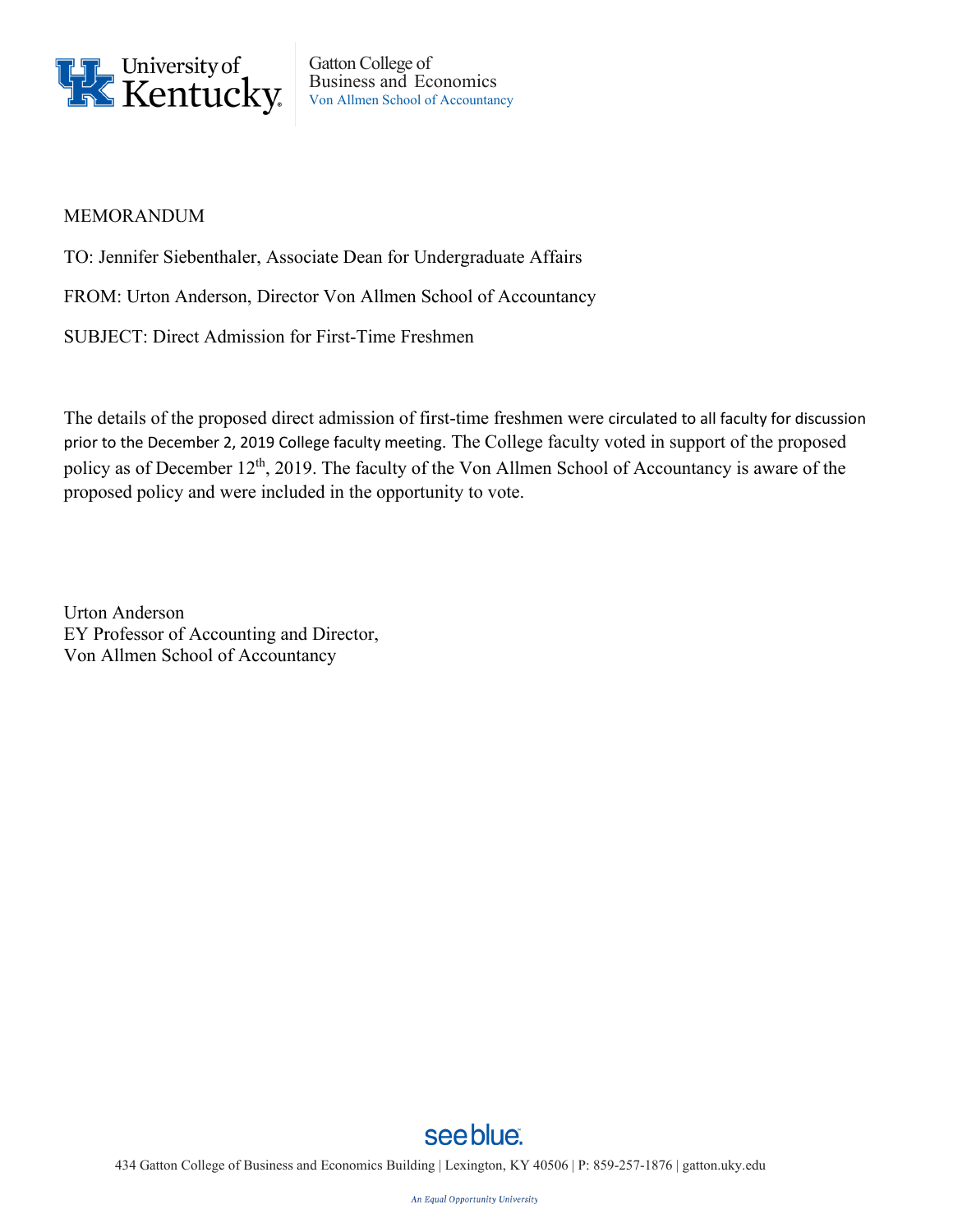

Gatton College of Business and Economics Von Allmen School of Accountancy

### MEMORANDUM

TO: Jennifer Siebenthaler, Associate Dean for Undergraduate Affairs

FROM: Urton Anderson, Director Von Allmen School of Accountancy

SUBJECT: Direct Admission for First-Time Freshmen

The details of the proposed direct admission of first-time freshmen were circulated to all faculty for discussion prior to the December 2, 2019 College faculty meeting. The College faculty voted in support of the proposed policy as of December 12<sup>th</sup>, 2019. The faculty of the Von Allmen School of Accountancy is aware of the proposed policy and were included in the opportunity to vote.

Urton Anderson EY Professor of Accounting and Director, Von Allmen School of Accountancy

# see blue.

434 Gatton College of Business and Economics Building | Lexington, KY 40506 | P: 859-257-1876 [| gatton.uky.edu](http://gatton.uky.edu/)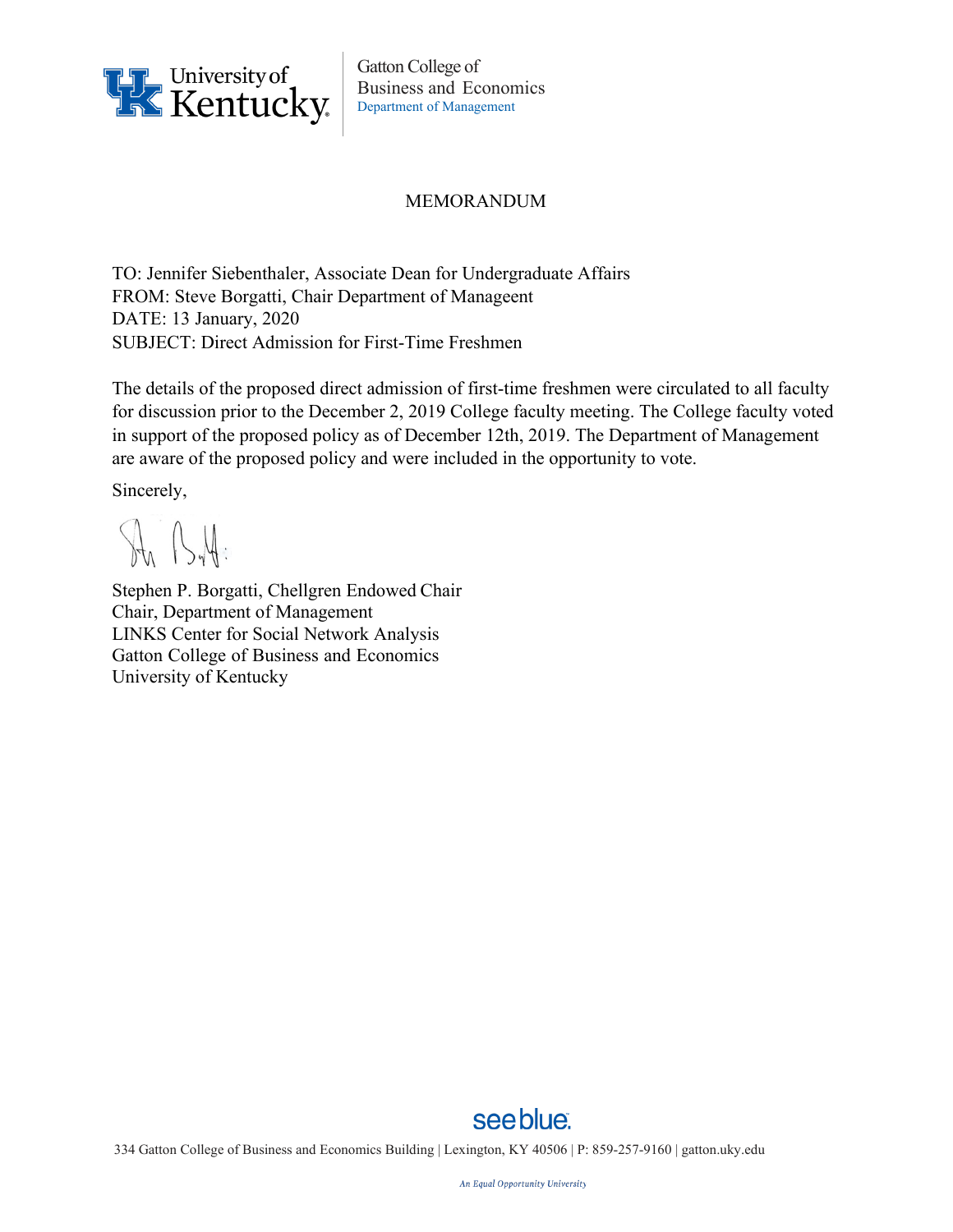

Gatton College of Business and Economics Department of Management

### MEMORANDUM

TO: Jennifer Siebenthaler, Associate Dean for Undergraduate Affairs FROM: Steve Borgatti, Chair Department of Manageent DATE: 13 January, 2020 SUBJECT: Direct Admission for First-Time Freshmen

The details of the proposed direct admission of first-time freshmen were circulated to all faculty for discussion prior to the December 2, 2019 College faculty meeting. The College faculty voted in support of the proposed policy as of December 12th, 2019. The Department of Management are aware of the proposed policy and were included in the opportunity to vote.

Sincerely,

Str ByH:

Stephen P. Borgatti, Chellgren Endowed Chair Chair, Department of Management LINKS Center for Social Network Analysis Gatton College of Business and Economics University of Kentucky



334 Gatton College of Business and Economics Building | Lexington, KY 40506 | P: 859-257-9160 | [gatton.uky.edu](http://gatton.uky.edu/)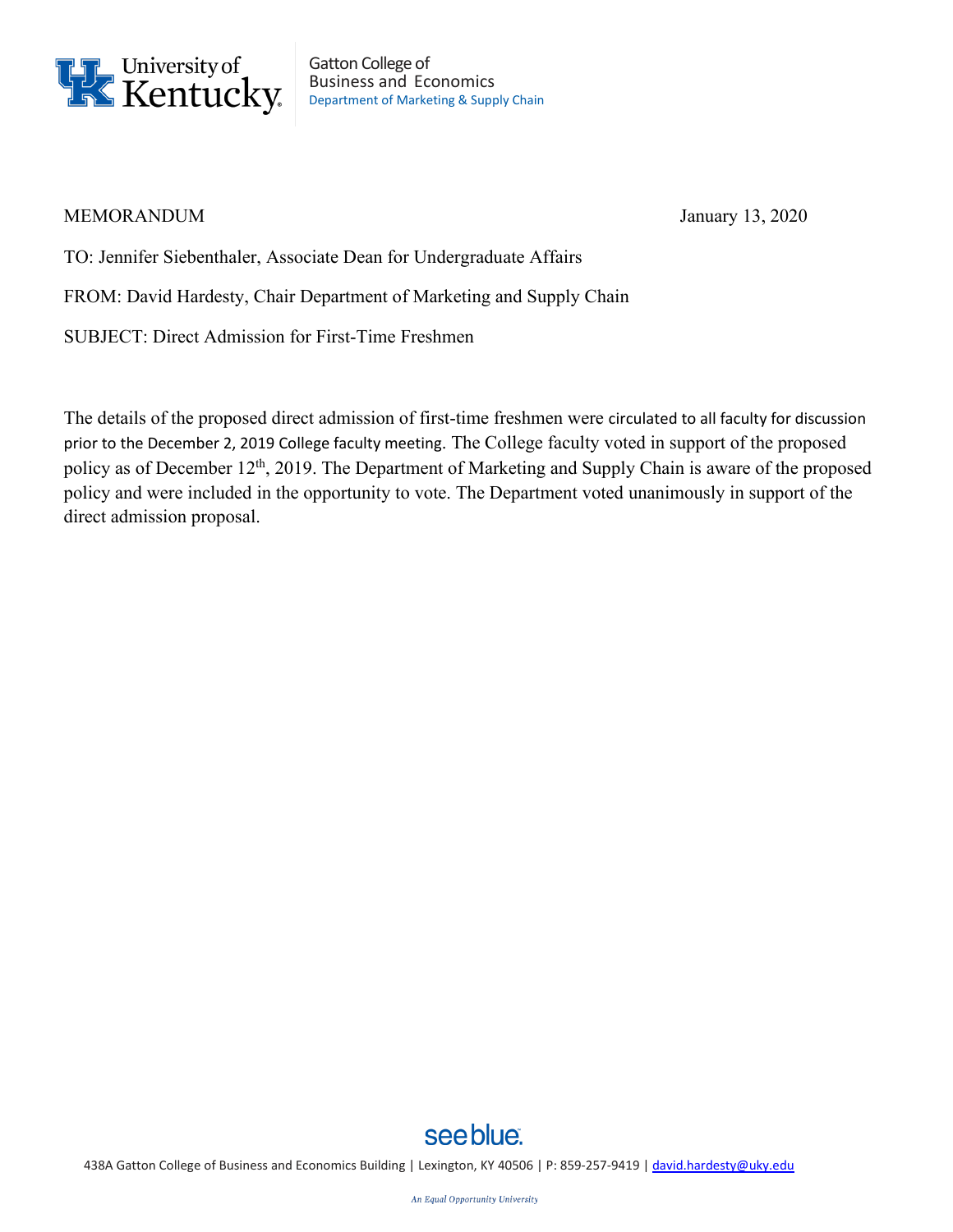

Gatton College of Business and Economics Department of Marketing & Supply Chain

### MEMORANDUM January 13, 2020

TO: Jennifer Siebenthaler, Associate Dean for Undergraduate Affairs

FROM: David Hardesty, Chair Department of Marketing and Supply Chain

SUBJECT: Direct Admission for First-Time Freshmen

The details of the proposed direct admission of first-time freshmen were circulated to all faculty for discussion prior to the December 2, 2019 College faculty meeting. The College faculty voted in support of the proposed policy as of December 12<sup>th</sup>, 2019. The Department of Marketing and Supply Chain is aware of the proposed policy and were included in the opportunity to vote. The Department voted unanimously in support of the direct admission proposal.



438A Gatton College of Business and Economics Building | Lexington, KY 40506 | P: 859-257-9419 [| david.hardesty@uky.edu](mailto:david.hardesty@uky.edu)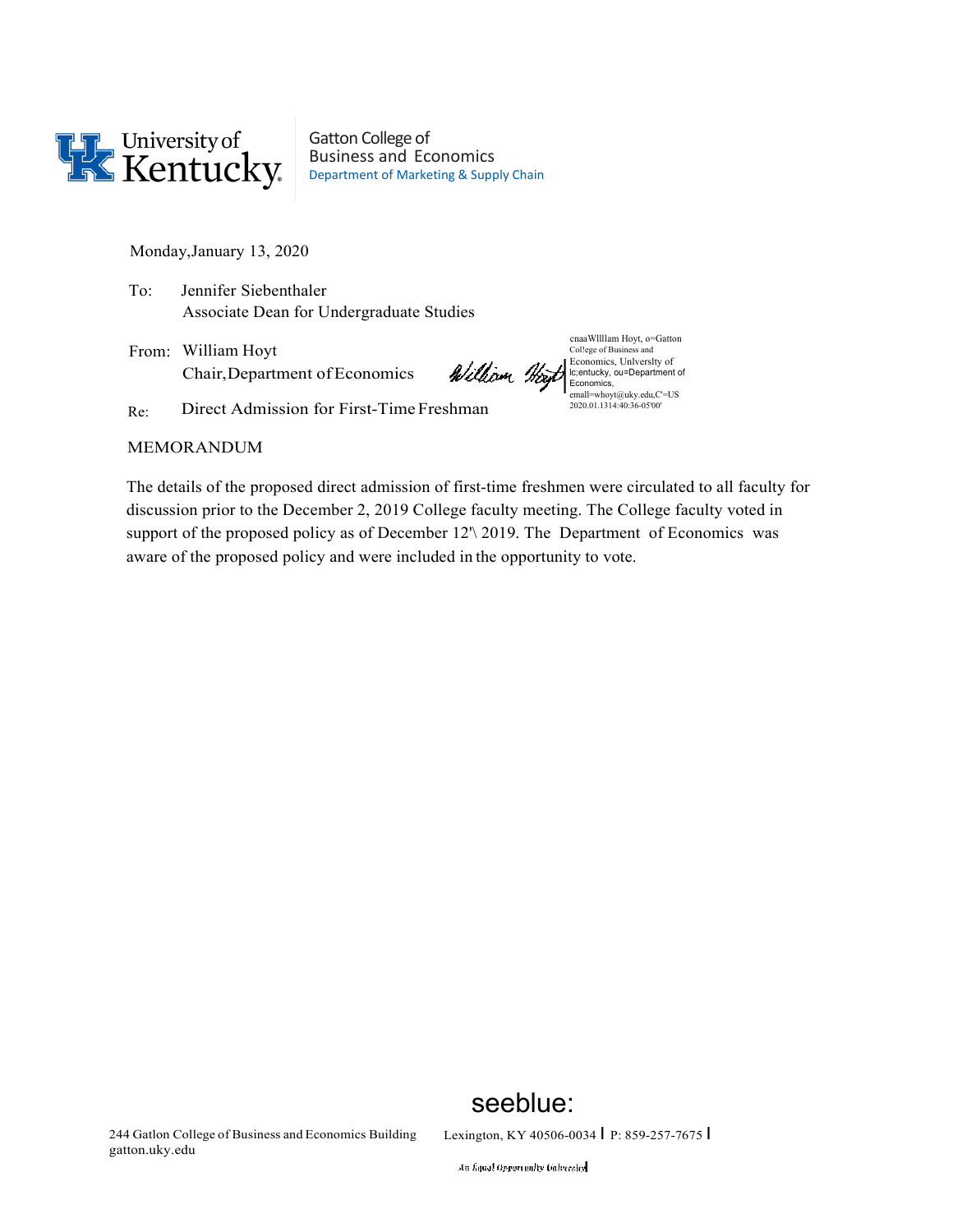

Gatton College of Business and Economics Department of Marketing & Supply Chain

Monday,January 13, 2020

To: Jennifer Siebenthaler Associate Dean for Undergraduate Studies

From: William Hoyt Chair,Department ofEconomics

cnaaWllllam Hoyt, o=Gatton Col!ege of Business and Economics, Unlverslty of lc;entucky, ou=Department of Economics, emall=whoyt@uky.edu,C'=US 2020.01.1314:40:36-05'00'

Re: Direct Admission for First-Time Freshman

### MEMORANDUM

The details of the proposed direct admission of first-time freshmen were circulated to all faculty for discussion prior to the December 2, 2019 College faculty meeting. The College faculty voted in support of the proposed policy as of December 12'\ 2019. The Department of Economics was aware of the proposed policy and were included in the opportunity to vote.

# seeblue:

244 Gatlon College of Business and Economics Building gatton.uky.edu

Lexington, KY 40506-0034 I P: 859-257-7675 I